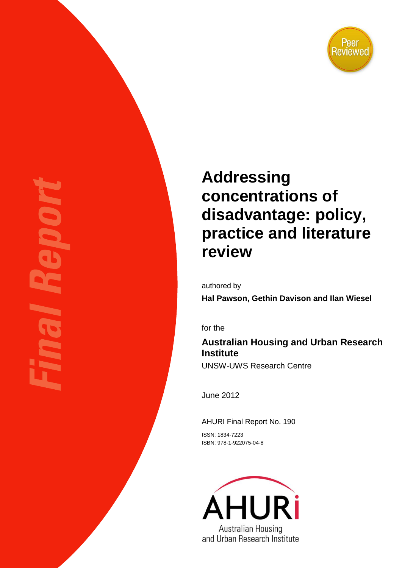

# **Addressing concentrations of disadvantage: policy, practice and literature review**

authored by

**Hal Pawson, Gethin Davison and Ilan Wiesel**

for the

## **Australian Housing and Urban Research Institute**

UNSW-UWS Research Centre

June 2012

AHURI Final Report No. 190 ISSN: 1834-7223

ISBN: 978-1-922075-04-8

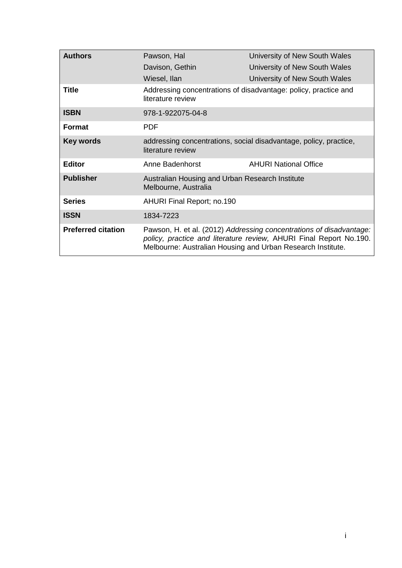| <b>Authors</b>            | Pawson, Hal                                                                                                                                                                                              | University of New South Wales                                   |  |  |
|---------------------------|----------------------------------------------------------------------------------------------------------------------------------------------------------------------------------------------------------|-----------------------------------------------------------------|--|--|
|                           | Davison, Gethin                                                                                                                                                                                          | University of New South Wales                                   |  |  |
|                           | Wiesel, Ilan                                                                                                                                                                                             | University of New South Wales                                   |  |  |
| Title                     | literature review                                                                                                                                                                                        | Addressing concentrations of disadvantage: policy, practice and |  |  |
| <b>ISBN</b>               | 978-1-922075-04-8                                                                                                                                                                                        |                                                                 |  |  |
| <b>Format</b>             | <b>PDF</b>                                                                                                                                                                                               |                                                                 |  |  |
| <b>Key words</b>          | addressing concentrations, social disadvantage, policy, practice,<br>literature review                                                                                                                   |                                                                 |  |  |
| <b>Editor</b>             | Anne Badenhorst                                                                                                                                                                                          | <b>AHURI National Office</b>                                    |  |  |
| <b>Publisher</b>          | Australian Housing and Urban Research Institute<br>Melbourne, Australia                                                                                                                                  |                                                                 |  |  |
| <b>Series</b>             | <b>AHURI Final Report; no.190</b>                                                                                                                                                                        |                                                                 |  |  |
| <b>ISSN</b>               | 1834-7223                                                                                                                                                                                                |                                                                 |  |  |
| <b>Preferred citation</b> | Pawson, H. et al. (2012) Addressing concentrations of disadvantage:<br>policy, practice and literature review, AHURI Final Report No.190.<br>Melbourne: Australian Housing and Urban Research Institute. |                                                                 |  |  |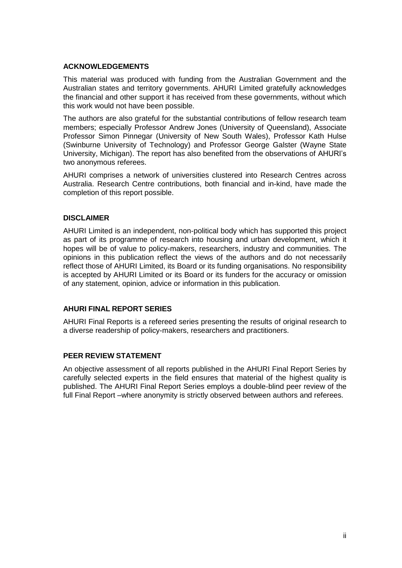#### **ACKNOWLEDGEMENTS**

This material was produced with funding from the Australian Government and the Australian states and territory governments. AHURI Limited gratefully acknowledges the financial and other support it has received from these governments, without which this work would not have been possible.

The authors are also grateful for the substantial contributions of fellow research team members; especially Professor Andrew Jones (University of Queensland), Associate Professor Simon Pinnegar (University of New South Wales), Professor Kath Hulse (Swinburne University of Technology) and Professor George Galster (Wayne State University, Michigan). The report has also benefited from the observations of AHURI's two anonymous referees.

AHURI comprises a network of universities clustered into Research Centres across Australia. Research Centre contributions, both financial and in-kind, have made the completion of this report possible.

#### **DISCLAIMER**

AHURI Limited is an independent, non-political body which has supported this project as part of its programme of research into housing and urban development, which it hopes will be of value to policy-makers, researchers, industry and communities. The opinions in this publication reflect the views of the authors and do not necessarily reflect those of AHURI Limited, its Board or its funding organisations. No responsibility is accepted by AHURI Limited or its Board or its funders for the accuracy or omission of any statement, opinion, advice or information in this publication.

#### **AHURI FINAL REPORT SERIES**

AHURI Final Reports is a refereed series presenting the results of original research to a diverse readership of policy-makers, researchers and practitioners.

#### **PEER REVIEW STATEMENT**

An objective assessment of all reports published in the AHURI Final Report Series by carefully selected experts in the field ensures that material of the highest quality is published. The AHURI Final Report Series employs a double-blind peer review of the full Final Report –where anonymity is strictly observed between authors and referees.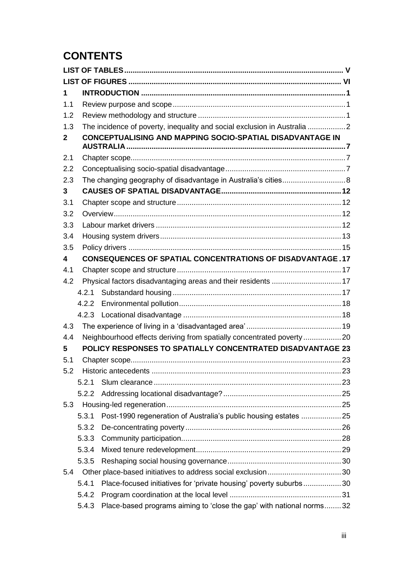## **CONTENTS**

| 1                       |       |                                                                          |  |
|-------------------------|-------|--------------------------------------------------------------------------|--|
| 1.1                     |       |                                                                          |  |
| 1.2                     |       |                                                                          |  |
| 1.3                     |       | The incidence of poverty, inequality and social exclusion in Australia 2 |  |
| 2                       |       | <b>CONCEPTUALISING AND MAPPING SOCIO-SPATIAL DISADVANTAGE IN</b>         |  |
|                         |       |                                                                          |  |
| 2.1                     |       |                                                                          |  |
| 2.2                     |       |                                                                          |  |
| 2.3                     |       | The changing geography of disadvantage in Australia's cities 8           |  |
| 3                       |       |                                                                          |  |
| 3.1                     |       |                                                                          |  |
| 3.2                     |       |                                                                          |  |
| 3.3                     |       |                                                                          |  |
| 3.4                     |       |                                                                          |  |
| 3.5                     |       |                                                                          |  |
| $\overline{\mathbf{4}}$ |       | <b>CONSEQUENCES OF SPATIAL CONCENTRATIONS OF DISADVANTAGE.17</b>         |  |
| 4.1                     |       |                                                                          |  |
| 4.2                     |       | Physical factors disadvantaging areas and their residents  17            |  |
|                         | 4.2.1 |                                                                          |  |
|                         | 4.2.2 |                                                                          |  |
|                         | 4.2.3 |                                                                          |  |
| 4.3                     |       |                                                                          |  |
| 4.4                     |       | Neighbourhood effects deriving from spatially concentrated poverty       |  |
| 5                       |       | POLICY RESPONSES TO SPATIALLY CONCENTRATED DISADVANTAGE 23               |  |
| 5.1                     |       |                                                                          |  |
| 5.2                     |       |                                                                          |  |
|                         | 5.2.1 |                                                                          |  |
|                         | 5.2.2 |                                                                          |  |
| 5.3                     |       |                                                                          |  |
|                         | 5.3.1 |                                                                          |  |
|                         | 5.3.2 |                                                                          |  |
|                         | 5.3.3 |                                                                          |  |
|                         | 5.3.4 |                                                                          |  |
|                         | 5.3.5 |                                                                          |  |
| 5.4                     |       |                                                                          |  |
|                         | 5.4.1 | Place-focused initiatives for 'private housing' poverty suburbs30        |  |
|                         | 5.4.2 |                                                                          |  |
|                         | 5.4.3 | Place-based programs aiming to 'close the gap' with national norms32     |  |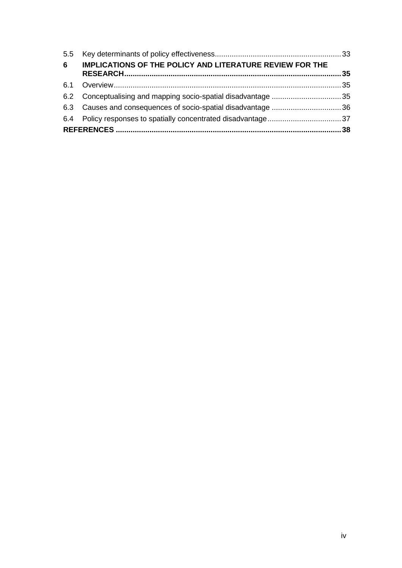| 6 | <b>IMPLICATIONS OF THE POLICY AND LITERATURE REVIEW FOR THE</b> |  |
|---|-----------------------------------------------------------------|--|
|   |                                                                 |  |
|   |                                                                 |  |
|   |                                                                 |  |
|   |                                                                 |  |
|   |                                                                 |  |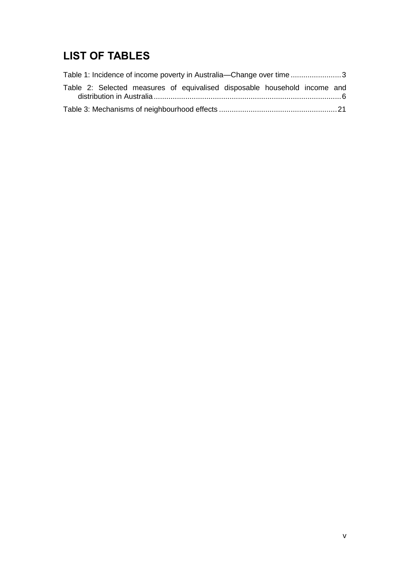## <span id="page-5-0"></span>**LIST OF TABLES**

| Table 1: Incidence of income poverty in Australia—Change over time3       |  |  |  |
|---------------------------------------------------------------------------|--|--|--|
| Table 2: Selected measures of equivalised disposable household income and |  |  |  |
|                                                                           |  |  |  |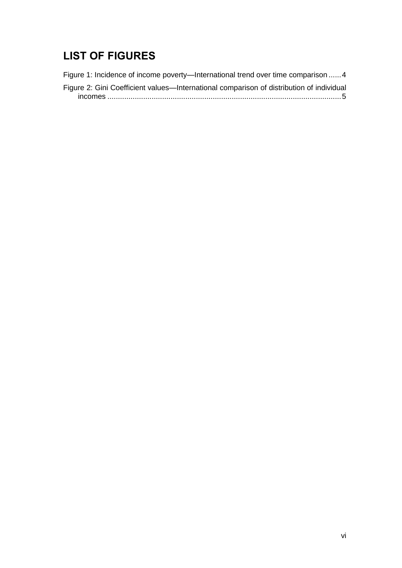## <span id="page-6-0"></span>**LIST OF FIGURES**

[Figure 1: Incidence of income poverty—International trend over time comparison](#page-10-0) ......4 [Figure 2: Gini Coefficient values—International comparison of distribution of individual](#page-11-0)  incomes [...............................................................................................................5](#page-11-0)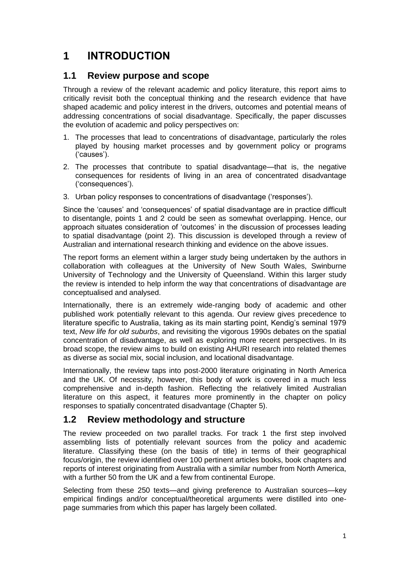## <span id="page-7-0"></span>**1 INTRODUCTION**

### <span id="page-7-1"></span>**1.1 Review purpose and scope**

Through a review of the relevant academic and policy literature, this report aims to critically revisit both the conceptual thinking and the research evidence that have shaped academic and policy interest in the drivers, outcomes and potential means of addressing concentrations of social disadvantage. Specifically, the paper discusses the evolution of academic and policy perspectives on:

- 1. The processes that lead to concentrations of disadvantage, particularly the roles played by housing market processes and by government policy or programs ('causes').
- 2. The processes that contribute to spatial disadvantage—that is, the negative consequences for residents of living in an area of concentrated disadvantage ('consequences').
- 3. Urban policy responses to concentrations of disadvantage ('responses').

Since the 'causes' and 'consequences' of spatial disadvantage are in practice difficult to disentangle, points 1 and 2 could be seen as somewhat overlapping. Hence, our approach situates consideration of 'outcomes' in the discussion of processes leading to spatial disadvantage (point 2). This discussion is developed through a review of Australian and international research thinking and evidence on the above issues.

The report forms an element within a larger study being undertaken by the authors in collaboration with colleagues at the University of New South Wales, Swinburne University of Technology and the University of Queensland. Within this larger study the review is intended to help inform the way that concentrations of disadvantage are conceptualised and analysed.

Internationally, there is an extremely wide-ranging body of academic and other published work potentially relevant to this agenda. Our review gives precedence to literature specific to Australia, taking as its main starting point, Kendig's seminal 1979 text, *New life for old suburbs*, and revisiting the vigorous 1990s debates on the spatial concentration of disadvantage, as well as exploring more recent perspectives. In its broad scope, the review aims to build on existing AHURI research into related themes as diverse as social mix, social inclusion, and locational disadvantage.

Internationally, the review taps into post-2000 literature originating in North America and the UK. Of necessity, however, this body of work is covered in a much less comprehensive and in-depth fashion. Reflecting the relatively limited Australian literature on this aspect, it features more prominently in the chapter on policy responses to spatially concentrated disadvantage (Chapter 5).

#### <span id="page-7-2"></span>**1.2 Review methodology and structure**

The review proceeded on two parallel tracks. For track 1 the first step involved assembling lists of potentially relevant sources from the policy and academic literature. Classifying these (on the basis of title) in terms of their geographical focus/origin, the review identified over 100 pertinent articles books, book chapters and reports of interest originating from Australia with a similar number from North America, with a further 50 from the UK and a few from continental Europe.

Selecting from these 250 texts—and giving preference to Australian sources—key empirical findings and/or conceptual/theoretical arguments were distilled into onepage summaries from which this paper has largely been collated.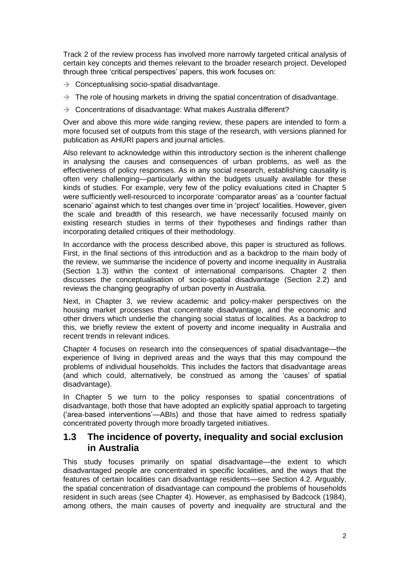Track 2 of the review process has involved more narrowly targeted critical analysis of certain key concepts and themes relevant to the broader research project. Developed through three 'critical perspectives' papers, this work focuses on:

- $\rightarrow$  Conceptualising socio-spatial disadvantage.
- $\rightarrow$  The role of housing markets in driving the spatial concentration of disadvantage.
- $\rightarrow$  Concentrations of disadvantage: What makes Australia different?

Over and above this more wide ranging review, these papers are intended to form a more focused set of outputs from this stage of the research, with versions planned for publication as AHURI papers and journal articles.

Also relevant to acknowledge within this introductory section is the inherent challenge in analysing the causes and consequences of urban problems, as well as the effectiveness of policy responses. As in any social research, establishing causality is often very challenging—particularly within the budgets usually available for these kinds of studies. For example, very few of the policy evaluations cited in Chapter 5 were sufficiently well-resourced to incorporate 'comparator areas' as a 'counter factual scenario' against which to test changes over time in 'project' localities. However, given the scale and breadth of this research, we have necessarily focused mainly on existing research studies in terms of their hypotheses and findings rather than incorporating detailed critiques of their methodology.

In accordance with the process described above, this paper is structured as follows. First, in the final sections of this introduction and as a backdrop to the main body of the review, we summarise the incidence of poverty and income inequality in Australia (Section 1.3) within the context of international comparisons. Chapter 2 then discusses the conceptualisation of socio-spatial disadvantage (Section 2.2) and reviews the changing geography of urban poverty in Australia.

Next, in Chapter 3, we review academic and policy-maker perspectives on the housing market processes that concentrate disadvantage, and the economic and other drivers which underlie the changing social status of localities. As a backdrop to this, we briefly review the extent of poverty and income inequality in Australia and recent trends in relevant indices.

Chapter 4 focuses on research into the consequences of spatial disadvantage—the experience of living in deprived areas and the ways that this may compound the problems of individual households. This includes the factors that disadvantage areas (and which could, alternatively, be construed as among the 'causes' of spatial disadvantage).

In Chapter 5 we turn to the policy responses to spatial concentrations of disadvantage, both those that have adopted an explicitly spatial approach to targeting ('area-based interventions'—ABIs) and those that have aimed to redress spatially concentrated poverty through more broadly targeted initiatives.

#### <span id="page-8-0"></span>**1.3 The incidence of poverty, inequality and social exclusion in Australia**

This study focuses primarily on spatial disadvantage—the extent to which disadvantaged people are concentrated in specific localities, and the ways that the features of certain localities can disadvantage residents—see Section 4.2. Arguably, the spatial concentration of disadvantage can compound the problems of households resident in such areas (see Chapter 4). However, as emphasised by Badcock (1984), among others, the main causes of poverty and inequality are structural and the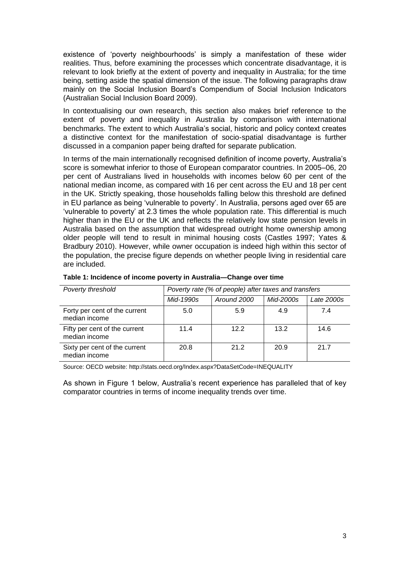existence of 'poverty neighbourhoods' is simply a manifestation of these wider realities. Thus, before examining the processes which concentrate disadvantage, it is relevant to look briefly at the extent of poverty and inequality in Australia; for the time being, setting aside the spatial dimension of the issue. The following paragraphs draw mainly on the Social Inclusion Board's Compendium of Social Inclusion Indicators (Australian Social Inclusion Board 2009).

In contextualising our own research, this section also makes brief reference to the extent of poverty and inequality in Australia by comparison with international benchmarks. The extent to which Australia's social, historic and policy context creates a distinctive context for the manifestation of socio-spatial disadvantage is further discussed in a companion paper being drafted for separate publication.

In terms of the main internationally recognised definition of income poverty, Australia's score is somewhat inferior to those of European comparator countries. In 2005–06, 20 per cent of Australians lived in households with incomes below 60 per cent of the national median income, as compared with 16 per cent across the EU and 18 per cent in the UK. Strictly speaking, those households falling below this threshold are defined in EU parlance as being 'vulnerable to poverty'. In Australia, persons aged over 65 are 'vulnerable to poverty' at 2.3 times the whole population rate. This differential is much higher than in the EU or the UK and reflects the relatively low state pension levels in Australia based on the assumption that widespread outright home ownership among older people will tend to result in minimal housing costs (Castles 1997; Yates & Bradbury 2010). However, while owner occupation is indeed high within this sector of the population, the precise figure depends on whether people living in residential care are included.

| Poverty threshold                              | Poverty rate (% of people) after taxes and transfers |             |           |            |
|------------------------------------------------|------------------------------------------------------|-------------|-----------|------------|
|                                                | Mid-1990s                                            | Around 2000 | Mid-2000s | Late 2000s |
| Forty per cent of the current<br>median income | 5.0                                                  | 5.9         | 4.9       | 7.4        |
| Fifty per cent of the current<br>median income | 11.4                                                 | 12.2        | 13.2      | 14.6       |
| Sixty per cent of the current<br>median income | 20.8                                                 | 21.2        | 20.9      | 21.7       |

#### <span id="page-9-0"></span>**Table 1: Incidence of income poverty in Australia—Change over time**

Source: OECD website:<http://stats.oecd.org/Index.aspx?DataSetCode=INEQUALITY>

As shown in Figure 1 below, Australia's recent experience has paralleled that of key comparator countries in terms of income inequality trends over time.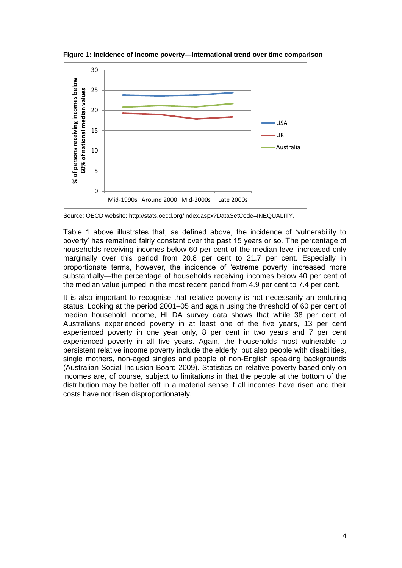

<span id="page-10-0"></span>**Figure 1: Incidence of income poverty—International trend over time comparison**

Source: OECD website: http://stats.oecd.org/Index.aspx?DataSetCode=INEQUALITY.

Table 1 above illustrates that, as defined above, the incidence of 'vulnerability to poverty' has remained fairly constant over the past 15 years or so. The percentage of households receiving incomes below 60 per cent of the median level increased only marginally over this period from 20.8 per cent to 21.7 per cent. Especially in proportionate terms, however, the incidence of 'extreme poverty' increased more substantially—the percentage of households receiving incomes below 40 per cent of the median value jumped in the most recent period from 4.9 per cent to 7.4 per cent.

It is also important to recognise that relative poverty is not necessarily an enduring status. Looking at the period 2001–05 and again using the threshold of 60 per cent of median household income, HILDA survey data shows that while 38 per cent of Australians experienced poverty in at least one of the five years, 13 per cent experienced poverty in one year only, 8 per cent in two years and 7 per cent experienced poverty in all five years. Again, the households most vulnerable to persistent relative income poverty include the elderly, but also people with disabilities, single mothers, non-aged singles and people of non-English speaking backgrounds (Australian Social Inclusion Board 2009). Statistics on relative poverty based only on incomes are, of course, subject to limitations in that the people at the bottom of the distribution may be better off in a material sense if all incomes have risen and their costs have not risen disproportionately.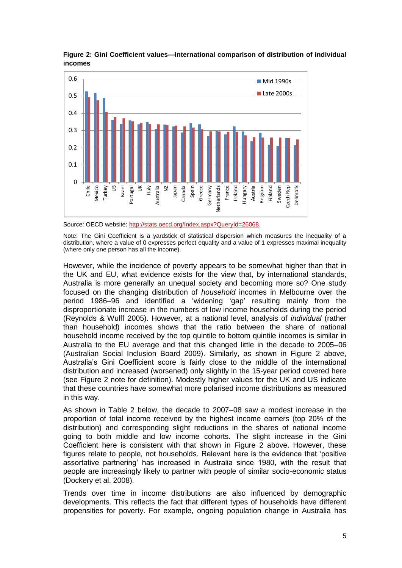

<span id="page-11-0"></span>**Figure 2: Gini Coefficient values—International comparison of distribution of individual incomes**

Source: OECD website: [http://stats.oecd.org/Index.aspx?QueryId=26068.](http://stats.oecd.org/Index.aspx?QueryId=26068)

Note: The Gini Coefficient is a yardstick of statistical dispersion which measures the inequality of a distribution, where a value of 0 expresses perfect equality and a value of 1 expresses maximal inequality (where only one person has all the income).

However, while the incidence of poverty appears to be somewhat higher than that in the UK and EU, what evidence exists for the view that, by international standards, Australia is more generally an unequal society and becoming more so? One study focused on the changing distribution of *household* incomes in Melbourne over the period 1986–96 and identified a 'widening 'gap' resulting mainly from the disproportionate increase in the numbers of low income households during the period (Reynolds & Wulff 2005). However, at a national level, analysis of *individual* (rather than household) incomes shows that the ratio between the share of national household income received by the top quintile to bottom quintile incomes is similar in Australia to the EU average and that this changed little in the decade to 2005–06 (Australian Social Inclusion Board 2009). Similarly, as shown in Figure 2 above, Australia's Gini Coefficient score is fairly close to the middle of the international distribution and increased (worsened) only slightly in the 15-year period covered here (see Figure 2 note for definition). Modestly higher values for the UK and US indicate that these countries have somewhat more polarised income distributions as measured in this way.

As shown in Table 2 below, the decade to 2007–08 saw a modest increase in the proportion of total income received by the highest income earners (top 20% of the distribution) and corresponding slight reductions in the shares of national income going to both middle and low income cohorts. The slight increase in the Gini Coefficient here is consistent with that shown in Figure 2 above. However, these figures relate to people, not households. Relevant here is the evidence that 'positive assortative partnering' has increased in Australia since 1980, with the result that people are increasingly likely to partner with people of similar socio-economic status (Dockery et al. 2008).

Trends over time in income distributions are also influenced by demographic developments. This reflects the fact that different types of households have different propensities for poverty. For example, ongoing population change in Australia has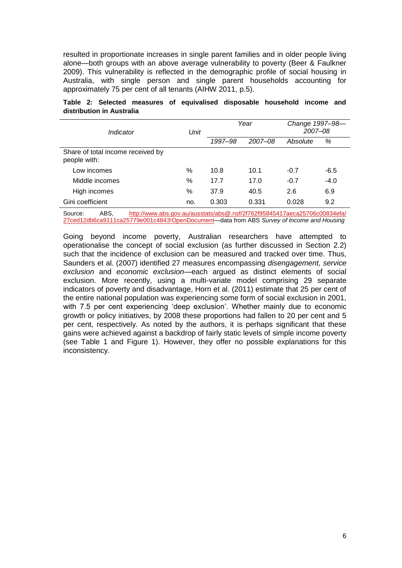resulted in proportionate increases in single parent families and in older people living alone—both groups with an above average vulnerability to poverty (Beer & Faulkner 2009). This vulnerability is reflected in the demographic profile of social housing in Australia, with single person and single parent households accounting for approximately 75 per cent of all tenants (AIHW 2011, p.5).

<span id="page-12-0"></span>

|  |                           |  | Table 2: Selected measures of equivalised disposable household income and |  |  |
|--|---------------------------|--|---------------------------------------------------------------------------|--|--|
|  | distribution in Australia |  |                                                                           |  |  |

| Indicator                                         | Unit | Year    |         | Change 1997-98-<br>2007-08 |        |
|---------------------------------------------------|------|---------|---------|----------------------------|--------|
|                                                   |      | 1997-98 | 2007-08 | Absolute                   | %      |
| Share of total income received by<br>people with: |      |         |         |                            |        |
| Low incomes                                       | %    | 10.8    | 10.1    | $-0.7$                     | $-6.5$ |
| Middle incomes                                    | %    | 17.7    | 17.0    | $-0.7$                     | $-4.0$ |
| High incomes                                      | %    | 37.9    | 40.5    | 2.6                        | 6.9    |
| Gini coefficient                                  | no.  | 0.303   | 0.331   | 0.028                      | 9.2    |

Source: ABS, http://www.abs.gov.au/ausstats/abs@.nsf/2f762f95845417aeca25706c00834efa/ [27ced12db6ca9111ca25779e001c4843!OpenDocument—](http://www.abs.gov.au/ausstats/abs@.nsf/2f762f95845417aeca25706c00834efa/%2027ced12db6ca9111ca25779e001c4843!OpenDocument)data from ABS *Survey of Income and Housing*

Going beyond income poverty, Australian researchers have attempted to operationalise the concept of social exclusion (as further discussed in Section 2.2) such that the incidence of exclusion can be measured and tracked over time. Thus, Saunders et al. (2007) identified 27 measures encompassing *disengagement, service exclusion* and *economic exclusion*—each argued as distinct elements of social exclusion. More recently, using a multi-variate model comprising 29 separate indicators of poverty and disadvantage, Horn et al. (2011) estimate that 25 per cent of the entire national population was experiencing some form of social exclusion in 2001, with 7.5 per cent experiencing 'deep exclusion'. Whether mainly due to economic growth or policy initiatives, by 2008 these proportions had fallen to 20 per cent and 5 per cent, respectively. As noted by the authors, it is perhaps significant that these gains were achieved against a backdrop of fairly static levels of simple income poverty (see Table 1 and Figure 1). However, they offer no possible explanations for this inconsistency.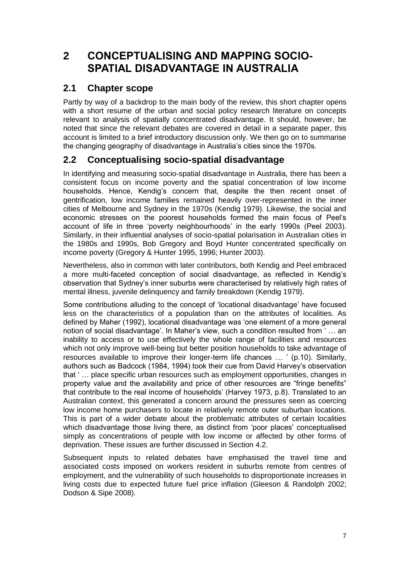## <span id="page-13-0"></span>**2 CONCEPTUALISING AND MAPPING SOCIO-SPATIAL DISADVANTAGE IN AUSTRALIA**

## <span id="page-13-1"></span>**2.1 Chapter scope**

Partly by way of a backdrop to the main body of the review, this short chapter opens with a short resume of the urban and social policy research literature on concepts relevant to analysis of spatially concentrated disadvantage. It should, however, be noted that since the relevant debates are covered in detail in a separate paper, this account is limited to a brief introductory discussion only. We then go on to summarise the changing geography of disadvantage in Australia's cities since the 1970s.

## <span id="page-13-2"></span>**2.2 Conceptualising socio-spatial disadvantage**

In identifying and measuring socio-spatial disadvantage in Australia, there has been a consistent focus on income poverty and the spatial concentration of low income households. Hence, Kendig's concern that, despite the then recent onset of gentrification, low income families remained heavily over-represented in the inner cities of Melbourne and Sydney in the 1970s (Kendig 1979). Likewise, the social and economic stresses on the poorest households formed the main focus of Peel's account of life in three 'poverty neighbourhoods' in the early 1990s (Peel 2003). Similarly, in their influential analyses of socio-spatial polarisation in Australian cities in the 1980s and 1990s, Bob Gregory and Boyd Hunter concentrated specifically on income poverty (Gregory & Hunter 1995, 1996; Hunter 2003).

Nevertheless, also in common with later contributors, both Kendig and Peel embraced a more multi-faceted conception of social disadvantage, as reflected in Kendig's observation that Sydney's inner suburbs were characterised by relatively high rates of mental illness, juvenile delinquency and family breakdown (Kendig 1979).

Some contributions alluding to the concept of 'locational disadvantage' have focused less on the characteristics of a population than on the attributes of localities. As defined by Maher (1992), locational disadvantage was 'one element of a more general notion of social disadvantage'. In Maher's view, such a condition resulted from ' … an inability to access or to use effectively the whole range of facilities and resources which not only improve well-being but better position households to take advantage of resources available to improve their longer-term life chances … ' (p.10). Similarly, authors such as Badcock (1984, 1994) took their cue from David Harvey's observation that ' … place specific urban resources such as employment opportunities, changes in property value and the availability and price of other resources are "fringe benefits" that contribute to the real income of households' (Harvey 1973, p.8). Translated to an Australian context, this generated a concern around the pressures seen as coercing low income home purchasers to locate in relatively remote outer suburban locations. This is part of a wider debate about the problematic attributes of certain localities which disadvantage those living there, as distinct from 'poor places' conceptualised simply as concentrations of people with low income or affected by other forms of deprivation. These issues are further discussed in Section 4.2.

Subsequent inputs to related debates have emphasised the travel time and associated costs imposed on workers resident in suburbs remote from centres of employment, and the vulnerability of such households to disproportionate increases in living costs due to expected future fuel price inflation (Gleeson & Randolph 2002; Dodson & Sipe 2008).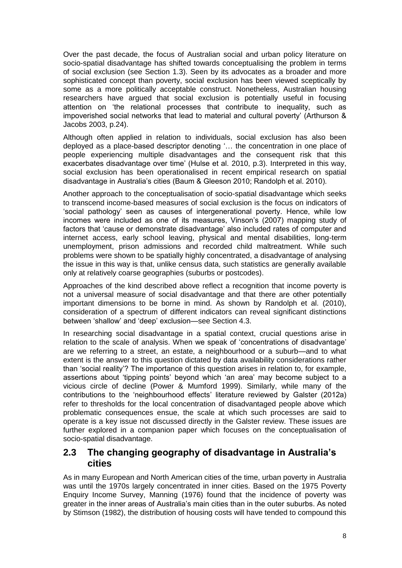Over the past decade, the focus of Australian social and urban policy literature on socio-spatial disadvantage has shifted towards conceptualising the problem in terms of social exclusion (see Section 1.3). Seen by its advocates as a broader and more sophisticated concept than poverty, social exclusion has been viewed sceptically by some as a more politically acceptable construct. Nonetheless, Australian housing researchers have argued that social exclusion is potentially useful in focusing attention on 'the relational processes that contribute to inequality, such as impoverished social networks that lead to material and cultural poverty' (Arthurson & Jacobs 2003, p.24).

Although often applied in relation to individuals, social exclusion has also been deployed as a place-based descriptor denoting '… the concentration in one place of people experiencing multiple disadvantages and the consequent risk that this exacerbates disadvantage over time' (Hulse et al. 2010, p.3). Interpreted in this way, social exclusion has been operationalised in recent empirical research on spatial disadvantage in Australia's cities (Baum & Gleeson 2010; Randolph et al. 2010).

Another approach to the conceptualisation of socio-spatial disadvantage which seeks to transcend income-based measures of social exclusion is the focus on indicators of 'social pathology' seen as causes of intergenerational poverty. Hence, while low incomes were included as one of its measures, Vinson's (2007) mapping study of factors that 'cause or demonstrate disadvantage' also included rates of computer and internet access, early school leaving, physical and mental disabilities, long-term unemployment, prison admissions and recorded child maltreatment. While such problems were shown to be spatially highly concentrated, a disadvantage of analysing the issue in this way is that, unlike census data, such statistics are generally available only at relatively coarse geographies (suburbs or postcodes).

Approaches of the kind described above reflect a recognition that income poverty is not a universal measure of social disadvantage and that there are other potentially important dimensions to be borne in mind. As shown by Randolph et al. (2010), consideration of a spectrum of different indicators can reveal significant distinctions between 'shallow' and 'deep' exclusion—see Section 4.3.

In researching social disadvantage in a spatial context, crucial questions arise in relation to the scale of analysis. When we speak of 'concentrations of disadvantage' are we referring to a street, an estate, a neighbourhood or a suburb—and to what extent is the answer to this question dictated by data availability considerations rather than 'social reality'? The importance of this question arises in relation to, for example, assertions about 'tipping points' beyond which 'an area' may become subject to a vicious circle of decline (Power & Mumford 1999). Similarly, while many of the contributions to the 'neighbourhood effects' literature reviewed by Galster (2012a) refer to thresholds for the local concentration of disadvantaged people above which problematic consequences ensue, the scale at which such processes are said to operate is a key issue not discussed directly in the Galster review. These issues are further explored in a companion paper which focuses on the conceptualisation of socio-spatial disadvantage.

#### <span id="page-14-0"></span>**2.3 The changing geography of disadvantage in Australia's cities**

As in many European and North American cities of the time, urban poverty in Australia was until the 1970s largely concentrated in inner cities. Based on the 1975 Poverty Enquiry Income Survey, Manning (1976) found that the incidence of poverty was greater in the inner areas of Australia's main cities than in the outer suburbs. As noted by Stimson (1982), the distribution of housing costs will have tended to compound this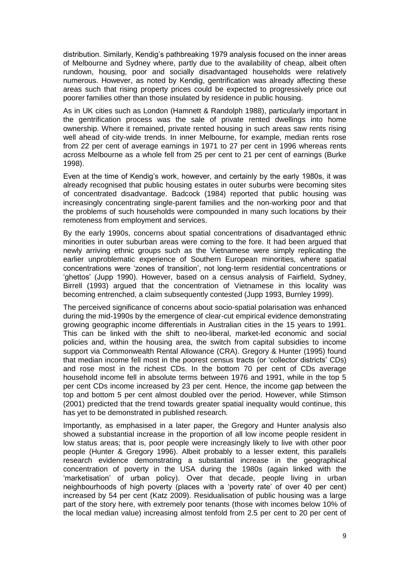distribution. Similarly, Kendig's pathbreaking 1979 analysis focused on the inner areas of Melbourne and Sydney where, partly due to the availability of cheap, albeit often rundown, housing, poor and socially disadvantaged households were relatively numerous. However, as noted by Kendig, gentrification was already affecting these areas such that rising property prices could be expected to progressively price out poorer families other than those insulated by residence in public housing.

As in UK cities such as London (Hamnett & Randolph 1988), particularly important in the gentrification process was the sale of private rented dwellings into home ownership. Where it remained, private rented housing in such areas saw rents rising well ahead of city-wide trends. In inner Melbourne, for example, median rents rose from 22 per cent of average earnings in 1971 to 27 per cent in 1996 whereas rents across Melbourne as a whole fell from 25 per cent to 21 per cent of earnings (Burke 1998).

Even at the time of Kendig's work, however, and certainly by the early 1980s, it was already recognised that public housing estates in outer suburbs were becoming sites of concentrated disadvantage. Badcock (1984) reported that public housing was increasingly concentrating single-parent families and the non-working poor and that the problems of such households were compounded in many such locations by their remoteness from employment and services.

By the early 1990s, concerns about spatial concentrations of disadvantaged ethnic minorities in outer suburban areas were coming to the fore. It had been argued that newly arriving ethnic groups such as the Vietnamese were simply replicating the earlier unproblematic experience of Southern European minorities, where spatial concentrations were 'zones of transition', not long-term residential concentrations or 'ghettos' (Jupp 1990). However, based on a census analysis of Fairfield, Sydney, Birrell (1993) argued that the concentration of Vietnamese in this locality was becoming entrenched, a claim subsequently contested (Jupp 1993, Burnley 1999).

The perceived significance of concerns about socio-spatial polarisation was enhanced during the mid-1990s by the emergence of clear-cut empirical evidence demonstrating growing geographic income differentials in Australian cities in the 15 years to 1991. This can be linked with the shift to neo-liberal, market-led economic and social policies and, within the housing area, the switch from capital subsidies to income support via Commonwealth Rental Allowance (CRA). Gregory & Hunter (1995) found that median income fell most in the poorest census tracts (or 'collector districts' CDs) and rose most in the richest CDs. In the bottom 70 per cent of CDs average household income fell in absolute terms between 1976 and 1991, while in the top 5 per cent CDs income increased by 23 per cent. Hence, the income gap between the top and bottom 5 per cent almost doubled over the period. However, while Stimson (2001) predicted that the trend towards greater spatial inequality would continue, this has yet to be demonstrated in published research.

Importantly, as emphasised in a later paper, the Gregory and Hunter analysis also showed a substantial increase in the proportion of all low income people resident in low status areas; that is, poor people were increasingly likely to live with other poor people (Hunter & Gregory 1996). Albeit probably to a lesser extent, this parallels research evidence demonstrating a substantial increase in the geographical concentration of poverty in the USA during the 1980s (again linked with the 'marketisation' of urban policy). Over that decade, people living in urban neighbourhoods of high poverty (places with a 'poverty rate' of over 40 per cent) increased by 54 per cent (Katz 2009). Residualisation of public housing was a large part of the story here, with extremely poor tenants (those with incomes below 10% of the local median value) increasing almost tenfold from 2.5 per cent to 20 per cent of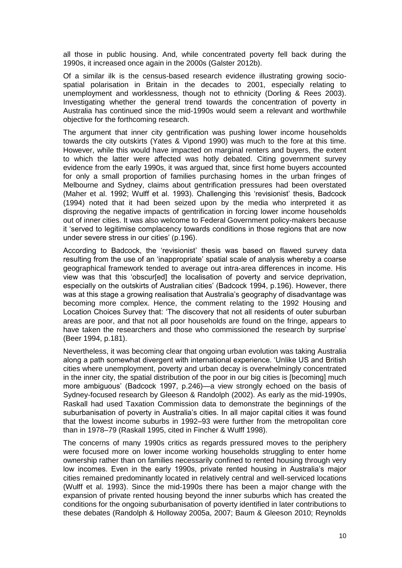all those in public housing. And, while concentrated poverty fell back during the 1990s, it increased once again in the 2000s (Galster 2012b).

Of a similar ilk is the census-based research evidence illustrating growing sociospatial polarisation in Britain in the decades to 2001, especially relating to unemployment and worklessness, though not to ethnicity (Dorling & Rees 2003). Investigating whether the general trend towards the concentration of poverty in Australia has continued since the mid-1990s would seem a relevant and worthwhile objective for the forthcoming research.

The argument that inner city gentrification was pushing lower income households towards the city outskirts (Yates & Vipond 1990) was much to the fore at this time. However, while this would have impacted on marginal renters and buyers, the extent to which the latter were affected was hotly debated. Citing government survey evidence from the early 1990s, it was argued that, since first home buyers accounted for only a small proportion of families purchasing homes in the urban fringes of Melbourne and Sydney, claims about gentrification pressures had been overstated (Maher et al. 1992; Wulff et al. 1993). Challenging this 'revisionist' thesis, Badcock (1994) noted that it had been seized upon by the media who interpreted it as disproving the negative impacts of gentrification in forcing lower income households out of inner cities. It was also welcome to Federal Government policy-makers because it 'served to legitimise complacency towards conditions in those regions that are now under severe stress in our cities' (p.196).

According to Badcock, the 'revisionist' thesis was based on flawed survey data resulting from the use of an 'inappropriate' spatial scale of analysis whereby a coarse geographical framework tended to average out intra-area differences in income. His view was that this 'obscur[ed] the localisation of poverty and service deprivation, especially on the outskirts of Australian cities' (Badcock 1994, p.196). However, there was at this stage a growing realisation that Australia's geography of disadvantage was becoming more complex. Hence, the comment relating to the 1992 Housing and Location Choices Survey that: 'The discovery that not all residents of outer suburban areas are poor, and that not all poor households are found on the fringe, appears to have taken the researchers and those who commissioned the research by surprise' (Beer 1994, p.181).

Nevertheless, it was becoming clear that ongoing urban evolution was taking Australia along a path somewhat divergent with international experience. 'Unlike US and British cities where unemployment, poverty and urban decay is overwhelmingly concentrated in the inner city, the spatial distribution of the poor in our big cities is [becoming] much more ambiguous' (Badcock 1997, p.246)—a view strongly echoed on the basis of Sydney-focused research by Gleeson & Randolph (2002). As early as the mid-1990s, Raskall had used Taxation Commission data to demonstrate the beginnings of the suburbanisation of poverty in Australia's cities. In all major capital cities it was found that the lowest income suburbs in 1992–93 were further from the metropolitan core than in 1978–79 (Raskall 1995, cited in Fincher & Wulff 1998).

The concerns of many 1990s critics as regards pressured moves to the periphery were focused more on lower income working households struggling to enter home ownership rather than on families necessarily confined to rented housing through very low incomes. Even in the early 1990s, private rented housing in Australia's major cities remained predominantly located in relatively central and well-serviced locations (Wulff et al. 1993). Since the mid-1990s there has been a major change with the expansion of private rented housing beyond the inner suburbs which has created the conditions for the ongoing suburbanisation of poverty identified in later contributions to these debates (Randolph & Holloway 2005a, 2007; Baum & Gleeson 2010; Reynolds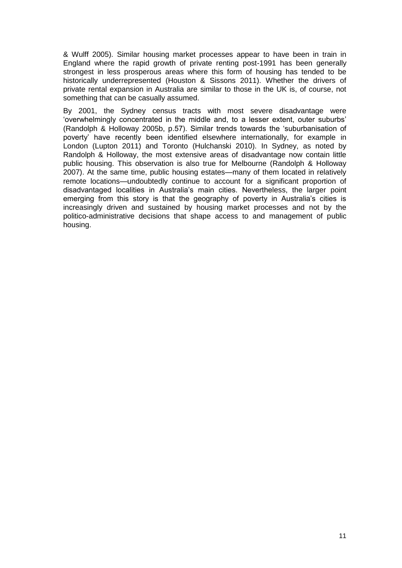& Wulff 2005). Similar housing market processes appear to have been in train in England where the rapid growth of private renting post-1991 has been generally strongest in less prosperous areas where this form of housing has tended to be historically underrepresented (Houston & Sissons 2011). Whether the drivers of private rental expansion in Australia are similar to those in the UK is, of course, not something that can be casually assumed.

By 2001, the Sydney census tracts with most severe disadvantage were 'overwhelmingly concentrated in the middle and, to a lesser extent, outer suburbs' (Randolph & Holloway 2005b, p.57). Similar trends towards the 'suburbanisation of poverty' have recently been identified elsewhere internationally, for example in London (Lupton 2011) and Toronto (Hulchanski 2010). In Sydney, as noted by Randolph & Holloway, the most extensive areas of disadvantage now contain little public housing. This observation is also true for Melbourne (Randolph & Holloway 2007). At the same time, public housing estates—many of them located in relatively remote locations—undoubtedly continue to account for a significant proportion of disadvantaged localities in Australia's main cities. Nevertheless, the larger point emerging from this story is that the geography of poverty in Australia's cities is increasingly driven and sustained by housing market processes and not by the politico-administrative decisions that shape access to and management of public housing.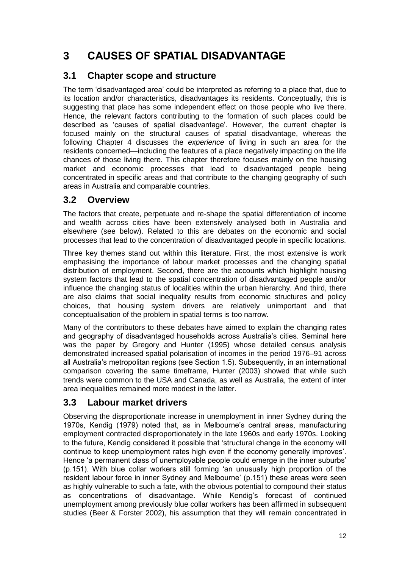## <span id="page-18-0"></span>**3 CAUSES OF SPATIAL DISADVANTAGE**

## <span id="page-18-1"></span>**3.1 Chapter scope and structure**

The term 'disadvantaged area' could be interpreted as referring to a place that, due to its location and/or characteristics, disadvantages its residents. Conceptually, this is suggesting that place has some independent effect on those people who live there. Hence, the relevant factors contributing to the formation of such places could be described as 'causes of spatial disadvantage'. However, the current chapter is focused mainly on the structural causes of spatial disadvantage, whereas the following Chapter 4 discusses the *experience* of living in such an area for the residents concerned—including the features of a place negatively impacting on the life chances of those living there. This chapter therefore focuses mainly on the housing market and economic processes that lead to disadvantaged people being concentrated in specific areas and that contribute to the changing geography of such areas in Australia and comparable countries.

## <span id="page-18-2"></span>**3.2 Overview**

The factors that create, perpetuate and re-shape the spatial differentiation of income and wealth across cities have been extensively analysed both in Australia and elsewhere (see below). Related to this are debates on the economic and social processes that lead to the concentration of disadvantaged people in specific locations.

Three key themes stand out within this literature. First, the most extensive is work emphasising the importance of labour market processes and the changing spatial distribution of employment. Second, there are the accounts which highlight housing system factors that lead to the spatial concentration of disadvantaged people and/or influence the changing status of localities within the urban hierarchy. And third, there are also claims that social inequality results from economic structures and policy choices, that housing system drivers are relatively unimportant and that conceptualisation of the problem in spatial terms is too narrow.

Many of the contributors to these debates have aimed to explain the changing rates and geography of disadvantaged households across Australia's cities. Seminal here was the paper by Gregory and Hunter (1995) whose detailed census analysis demonstrated increased spatial polarisation of incomes in the period 1976–91 across all Australia's metropolitan regions (see Section 1.5). Subsequently, in an international comparison covering the same timeframe, Hunter (2003) showed that while such trends were common to the USA and Canada, as well as Australia, the extent of inter area inequalities remained more modest in the latter.

## <span id="page-18-3"></span>**3.3 Labour market drivers**

Observing the disproportionate increase in unemployment in inner Sydney during the 1970s, Kendig (1979) noted that, as in Melbourne's central areas, manufacturing employment contracted disproportionately in the late 1960s and early 1970s. Looking to the future, Kendig considered it possible that 'structural change in the economy will continue to keep unemployment rates high even if the economy generally improves'. Hence 'a permanent class of unemployable people could emerge in the inner suburbs' (p.151). With blue collar workers still forming 'an unusually high proportion of the resident labour force in inner Sydney and Melbourne' (p.151) these areas were seen as highly vulnerable to such a fate, with the obvious potential to compound their status as concentrations of disadvantage. While Kendig's forecast of continued unemployment among previously blue collar workers has been affirmed in subsequent studies (Beer & Forster 2002), his assumption that they will remain concentrated in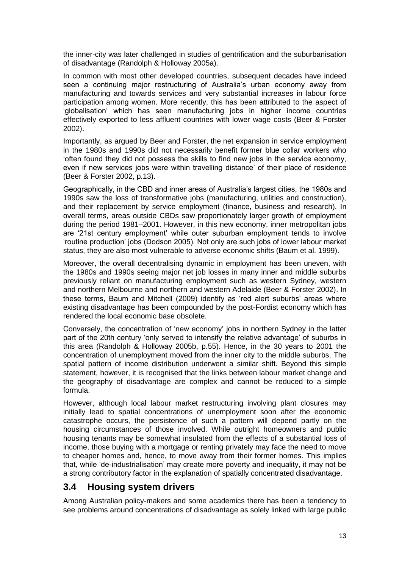the inner-city was later challenged in studies of gentrification and the suburbanisation of disadvantage (Randolph & Holloway 2005a).

In common with most other developed countries, subsequent decades have indeed seen a continuing major restructuring of Australia's urban economy away from manufacturing and towards services and very substantial increases in labour force participation among women. More recently, this has been attributed to the aspect of 'globalisation' which has seen manufacturing jobs in higher income countries effectively exported to less affluent countries with lower wage costs (Beer & Forster 2002).

Importantly, as argued by Beer and Forster, the net expansion in service employment in the 1980s and 1990s did not necessarily benefit former blue collar workers who 'often found they did not possess the skills to find new jobs in the service economy, even if new services jobs were within travelling distance' of their place of residence (Beer & Forster 2002, p.13).

Geographically, in the CBD and inner areas of Australia's largest cities, the 1980s and 1990s saw the loss of transformative jobs (manufacturing, utilities and construction), and their replacement by service employment (finance, business and research). In overall terms, areas outside CBDs saw proportionately larger growth of employment during the period 1981–2001. However, in this new economy, inner metropolitan jobs are '21st century employment' while outer suburban employment tends to involve 'routine production' jobs (Dodson 2005). Not only are such jobs of lower labour market status, they are also most vulnerable to adverse economic shifts (Baum et al. 1999).

Moreover, the overall decentralising dynamic in employment has been uneven, with the 1980s and 1990s seeing major net job losses in many inner and middle suburbs previously reliant on manufacturing employment such as western Sydney, western and northern Melbourne and northern and western Adelaide (Beer & Forster 2002). In these terms, Baum and Mitchell (2009) identify as 'red alert suburbs' areas where existing disadvantage has been compounded by the post-Fordist economy which has rendered the local economic base obsolete.

Conversely, the concentration of 'new economy' jobs in northern Sydney in the latter part of the 20th century 'only served to intensify the relative advantage' of suburbs in this area (Randolph & Holloway 2005b, p.55). Hence, in the 30 years to 2001 the concentration of unemployment moved from the inner city to the middle suburbs. The spatial pattern of income distribution underwent a similar shift. Beyond this simple statement, however, it is recognised that the links between labour market change and the geography of disadvantage are complex and cannot be reduced to a simple formula.

However, although local labour market restructuring involving plant closures may initially lead to spatial concentrations of unemployment soon after the economic catastrophe occurs, the persistence of such a pattern will depend partly on the housing circumstances of those involved. While outright homeowners and public housing tenants may be somewhat insulated from the effects of a substantial loss of income, those buying with a mortgage or renting privately may face the need to move to cheaper homes and, hence, to move away from their former homes. This implies that, while 'de-industrialisation' may create more poverty and inequality, it may not be a strong contributory factor in the explanation of spatially concentrated disadvantage.

#### <span id="page-19-0"></span>**3.4 Housing system drivers**

Among Australian policy-makers and some academics there has been a tendency to see problems around concentrations of disadvantage as solely linked with large public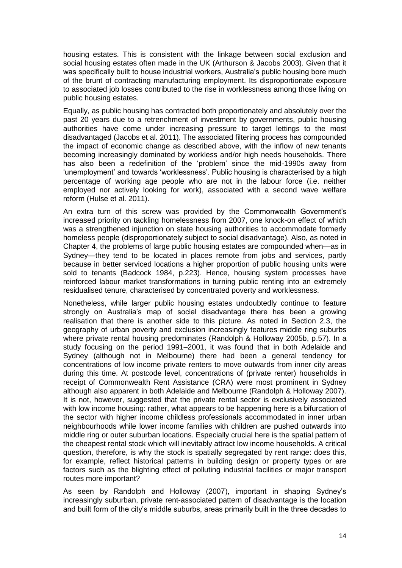housing estates. This is consistent with the linkage between social exclusion and social housing estates often made in the UK (Arthurson & Jacobs 2003). Given that it was specifically built to house industrial workers, Australia's public housing bore much of the brunt of contracting manufacturing employment. Its disproportionate exposure to associated job losses contributed to the rise in worklessness among those living on public housing estates.

Equally, as public housing has contracted both proportionately and absolutely over the past 20 years due to a retrenchment of investment by governments, public housing authorities have come under increasing pressure to target lettings to the most disadvantaged (Jacobs et al. 2011). The associated filtering process has compounded the impact of economic change as described above, with the inflow of new tenants becoming increasingly dominated by workless and/or high needs households. There has also been a redefinition of the 'problem' since the mid-1990s away from 'unemployment' and towards 'worklessness'. Public housing is characterised by a high percentage of working age people who are not in the labour force (i.e. neither employed nor actively looking for work), associated with a second wave welfare reform (Hulse et al. 2011).

An extra turn of this screw was provided by the Commonwealth Government's increased priority on tackling homelessness from 2007, one knock-on effect of which was a strengthened injunction on state housing authorities to accommodate formerly homeless people (disproportionately subject to social disadvantage). Also, as noted in Chapter 4, the problems of large public housing estates are compounded when—as in Sydney—they tend to be located in places remote from jobs and services, partly because in better serviced locations a higher proportion of public housing units were sold to tenants (Badcock 1984, p.223). Hence, housing system processes have reinforced labour market transformations in turning public renting into an extremely residualised tenure, characterised by concentrated poverty and worklessness.

Nonetheless, while larger public housing estates undoubtedly continue to feature strongly on Australia's map of social disadvantage there has been a growing realisation that there is another side to this picture. As noted in Section 2.3, the geography of urban poverty and exclusion increasingly features middle ring suburbs where private rental housing predominates (Randolph & Holloway 2005b, p.57). In a study focusing on the period 1991–2001, it was found that in both Adelaide and Sydney (although not in Melbourne) there had been a general tendency for concentrations of low income private renters to move outwards from inner city areas during this time. At postcode level, concentrations of (private renter) households in receipt of Commonwealth Rent Assistance (CRA) were most prominent in Sydney although also apparent in both Adelaide and Melbourne (Randolph & Holloway 2007). It is not, however, suggested that the private rental sector is exclusively associated with low income housing: rather, what appears to be happening here is a bifurcation of the sector with higher income childless professionals accommodated in inner urban neighbourhoods while lower income families with children are pushed outwards into middle ring or outer suburban locations. Especially crucial here is the spatial pattern of the cheapest rental stock which will inevitably attract low income households. A critical question, therefore, is why the stock is spatially segregated by rent range: does this, for example, reflect historical patterns in building design or property types or are factors such as the blighting effect of polluting industrial facilities or major transport routes more important?

As seen by Randolph and Holloway (2007), important in shaping Sydney's increasingly suburban, private rent-associated pattern of disadvantage is the location and built form of the city's middle suburbs, areas primarily built in the three decades to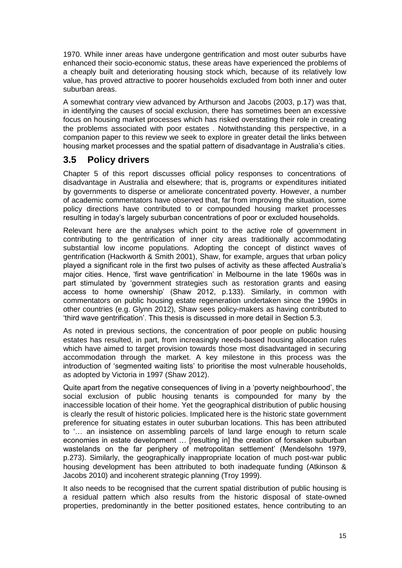1970. While inner areas have undergone gentrification and most outer suburbs have enhanced their socio-economic status, these areas have experienced the problems of a cheaply built and deteriorating housing stock which, because of its relatively low value, has proved attractive to poorer households excluded from both inner and outer suburban areas.

A somewhat contrary view advanced by Arthurson and Jacobs (2003, p.17) was that, in identifying the causes of social exclusion, there has sometimes been an excessive focus on housing market processes which has risked overstating their role in creating the problems associated with poor estates . Notwithstanding this perspective, in a companion paper to this review we seek to explore in greater detail the links between housing market processes and the spatial pattern of disadvantage in Australia's cities.

### <span id="page-21-0"></span>**3.5 Policy drivers**

Chapter 5 of this report discusses official policy responses to concentrations of disadvantage in Australia and elsewhere; that is, programs or expenditures initiated by governments to disperse or ameliorate concentrated poverty. However, a number of academic commentators have observed that, far from improving the situation, some policy directions have contributed to or compounded housing market processes resulting in today's largely suburban concentrations of poor or excluded households.

Relevant here are the analyses which point to the active role of government in contributing to the gentrification of inner city areas traditionally accommodating substantial low income populations. Adopting the concept of distinct waves of gentrification (Hackworth & Smith 2001), Shaw, for example, argues that urban policy played a significant role in the first two pulses of activity as these affected Australia's major cities. Hence, 'first wave gentrification' in Melbourne in the late 1960s was in part stimulated by 'government strategies such as restoration grants and easing access to home ownership' (Shaw 2012, p.133). Similarly, in common with commentators on public housing estate regeneration undertaken since the 1990s in other countries (e.g. Glynn 2012), Shaw sees policy-makers as having contributed to 'third wave gentrification'. This thesis is discussed in more detail in Section 5.3.

As noted in previous sections, the concentration of poor people on public housing estates has resulted, in part, from increasingly needs-based housing allocation rules which have aimed to target provision towards those most disadvantaged in securing accommodation through the market. A key milestone in this process was the introduction of 'segmented waiting lists' to prioritise the most vulnerable households, as adopted by Victoria in 1997 (Shaw 2012).

Quite apart from the negative consequences of living in a 'poverty neighbourhood', the social exclusion of public housing tenants is compounded for many by the inaccessible location of their home. Yet the geographical distribution of public housing is clearly the result of historic policies. Implicated here is the historic state government preference for situating estates in outer suburban locations. This has been attributed to '… an insistence on assembling parcels of land large enough to return scale economies in estate development … [resulting in] the creation of forsaken suburban wastelands on the far periphery of metropolitan settlement' (Mendelsohn 1979, p.273). Similarly, the geographically inappropriate location of much post-war public housing development has been attributed to both inadequate funding (Atkinson & Jacobs 2010) and incoherent strategic planning (Troy 1999).

It also needs to be recognised that the current spatial distribution of public housing is a residual pattern which also results from the historic disposal of state-owned properties, predominantly in the better positioned estates, hence contributing to an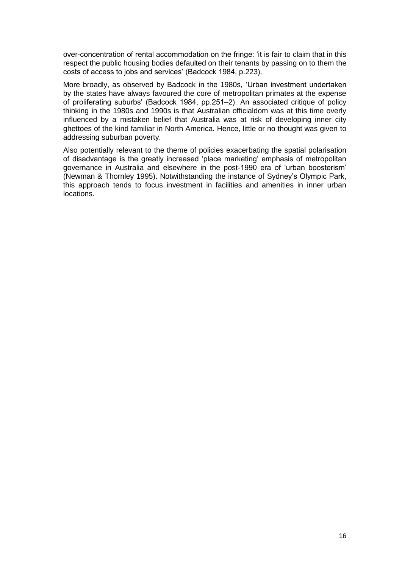over-concentration of rental accommodation on the fringe: 'it is fair to claim that in this respect the public housing bodies defaulted on their tenants by passing on to them the costs of access to jobs and services' (Badcock 1984, p.223).

More broadly, as observed by Badcock in the 1980s, 'Urban investment undertaken by the states have always favoured the core of metropolitan primates at the expense of proliferating suburbs' (Badcock 1984, pp.251–2). An associated critique of policy thinking in the 1980s and 1990s is that Australian officialdom was at this time overly influenced by a mistaken belief that Australia was at risk of developing inner city ghettoes of the kind familiar in North America. Hence, little or no thought was given to addressing suburban poverty.

Also potentially relevant to the theme of policies exacerbating the spatial polarisation of disadvantage is the greatly increased 'place marketing' emphasis of metropolitan governance in Australia and elsewhere in the post-1990 era of 'urban boosterism' (Newman & Thornley 1995). Notwithstanding the instance of Sydney's Olympic Park, this approach tends to focus investment in facilities and amenities in inner urban locations.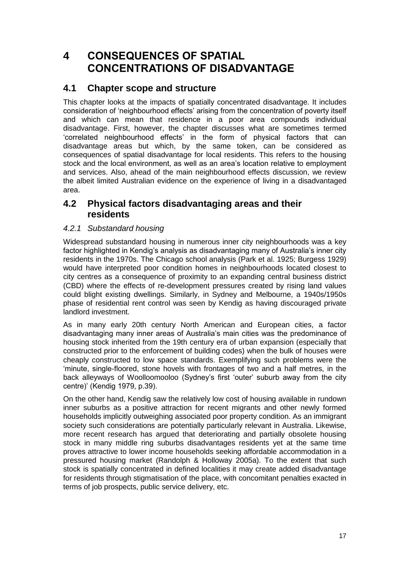## <span id="page-23-0"></span>**4 CONSEQUENCES OF SPATIAL CONCENTRATIONS OF DISADVANTAGE**

## <span id="page-23-1"></span>**4.1 Chapter scope and structure**

This chapter looks at the impacts of spatially concentrated disadvantage. It includes consideration of 'neighbourhood effects' arising from the concentration of poverty itself and which can mean that residence in a poor area compounds individual disadvantage. First, however, the chapter discusses what are sometimes termed 'correlated neighbourhood effects' in the form of physical factors that can disadvantage areas but which, by the same token, can be considered as consequences of spatial disadvantage for local residents. This refers to the housing stock and the local environment, as well as an area's location relative to employment and services. Also, ahead of the main neighbourhood effects discussion, we review the albeit limited Australian evidence on the experience of living in a disadvantaged area.

### <span id="page-23-2"></span>**4.2 Physical factors disadvantaging areas and their residents**

#### <span id="page-23-3"></span>*4.2.1 Substandard housing*

Widespread substandard housing in numerous inner city neighbourhoods was a key factor highlighted in Kendig's analysis as disadvantaging many of Australia's inner city residents in the 1970s. The Chicago school analysis (Park et al. 1925; Burgess 1929) would have interpreted poor condition homes in neighbourhoods located closest to city centres as a consequence of proximity to an expanding central business district (CBD) where the effects of re-development pressures created by rising land values could blight existing dwellings. Similarly, in Sydney and Melbourne, a 1940s/1950s phase of residential rent control was seen by Kendig as having discouraged private landlord investment.

As in many early 20th century North American and European cities, a factor disadvantaging many inner areas of Australia's main cities was the predominance of housing stock inherited from the 19th century era of urban expansion (especially that constructed prior to the enforcement of building codes) when the bulk of houses were cheaply constructed to low space standards. Exemplifying such problems were the 'minute, single-floored, stone hovels with frontages of two and a half metres, in the back alleyways of Woolloomooloo (Sydney's first 'outer' suburb away from the city centre)' (Kendig 1979, p.39).

On the other hand, Kendig saw the relatively low cost of housing available in rundown inner suburbs as a positive attraction for recent migrants and other newly formed households implicitly outweighing associated poor property condition. As an immigrant society such considerations are potentially particularly relevant in Australia. Likewise, more recent research has argued that deteriorating and partially obsolete housing stock in many middle ring suburbs disadvantages residents yet at the same time proves attractive to lower income households seeking affordable accommodation in a pressured housing market (Randolph & Holloway 2005a). To the extent that such stock is spatially concentrated in defined localities it may create added disadvantage for residents through stigmatisation of the place, with concomitant penalties exacted in terms of job prospects, public service delivery, etc.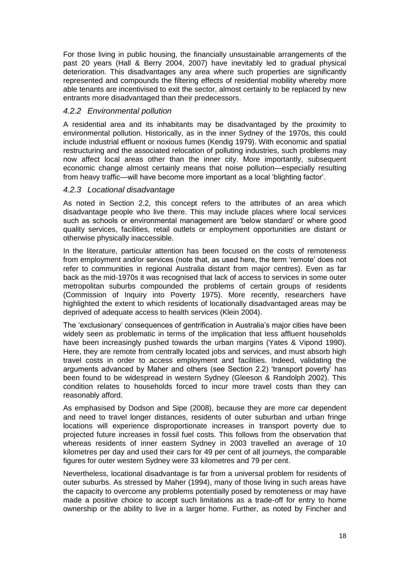For those living in public housing, the financially unsustainable arrangements of the past 20 years (Hall & Berry 2004, 2007) have inevitably led to gradual physical deterioration. This disadvantages any area where such properties are significantly represented and compounds the filtering effects of residential mobility whereby more able tenants are incentivised to exit the sector, almost certainly to be replaced by new entrants more disadvantaged than their predecessors.

#### <span id="page-24-0"></span>*4.2.2 Environmental pollution*

A residential area and its inhabitants may be disadvantaged by the proximity to environmental pollution. Historically, as in the inner Sydney of the 1970s, this could include industrial effluent or noxious fumes (Kendig 1979). With economic and spatial restructuring and the associated relocation of polluting industries, such problems may now affect local areas other than the inner city. More importantly, subsequent economic change almost certainly means that noise pollution—especially resulting from heavy traffic—will have become more important as a local 'blighting factor'.

#### <span id="page-24-1"></span>*4.2.3 Locational disadvantage*

As noted in Section 2.2, this concept refers to the attributes of an area which disadvantage people who live there. This may include places where local services such as schools or environmental management are 'below standard' or where good quality services, facilities, retail outlets or employment opportunities are distant or otherwise physically inaccessible.

In the literature, particular attention has been focused on the costs of remoteness from employment and/or services (note that, as used here, the term 'remote' does not refer to communities in regional Australia distant from major centres). Even as far back as the mid-1970s it was recognised that lack of access to services in some outer metropolitan suburbs compounded the problems of certain groups of residents (Commission of Inquiry into Poverty 1975). More recently, researchers have highlighted the extent to which residents of locationally disadvantaged areas may be deprived of adequate access to health services (Klein 2004).

The 'exclusionary' consequences of gentrification in Australia's major cities have been widely seen as problematic in terms of the implication that less affluent households have been increasingly pushed towards the urban margins (Yates & Vipond 1990). Here, they are remote from centrally located jobs and services, and must absorb high travel costs in order to access employment and facilities. Indeed, validating the arguments advanced by Maher and others (see Section 2.2) 'transport poverty' has been found to be widespread in western Sydney (Gleeson & Randolph 2002). This condition relates to households forced to incur more travel costs than they can reasonably afford.

As emphasised by Dodson and Sipe (2008), because they are more car dependent and need to travel longer distances, residents of outer suburban and urban fringe locations will experience disproportionate increases in transport poverty due to projected future increases in fossil fuel costs. This follows from the observation that whereas residents of inner eastern Sydney in 2003 travelled an average of 10 kilometres per day and used their cars for 49 per cent of all journeys, the comparable figures for outer western Sydney were 33 kilometres and 79 per cent.

Nevertheless, locational disadvantage is far from a universal problem for residents of outer suburbs. As stressed by Maher (1994), many of those living in such areas have the capacity to overcome any problems potentially posed by remoteness or may have made a positive choice to accept such limitations as a trade-off for entry to home ownership or the ability to live in a larger home. Further, as noted by Fincher and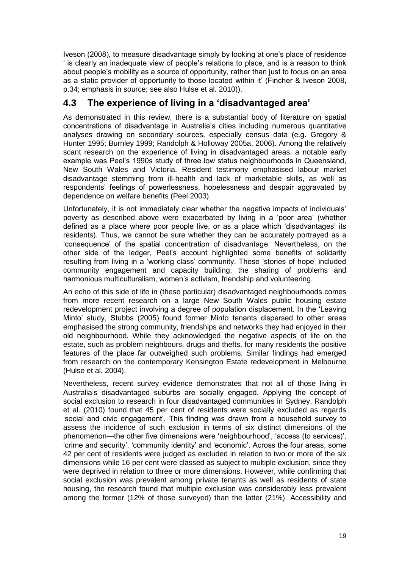Iveson (2008), to measure disadvantage simply by looking at one's place of residence ' is clearly an inadequate view of people's relations to place, and is a reason to think about people's mobility as a source of opportunity, rather than just to focus on an area as a static provider of opportunity to those located within it' (Fincher & Iveson 2008, p.34; emphasis in source; see also Hulse et al. 2010)).

## <span id="page-25-0"></span>**4.3 The experience of living in a 'disadvantaged area'**

As demonstrated in this review, there is a substantial body of literature on spatial concentrations of disadvantage in Australia's cities including numerous quantitative analyses drawing on secondary sources, especially census data (e.g. Gregory & Hunter 1995; Burnley 1999; Randolph & Holloway 2005a, 2006). Among the relatively scant research on the experience of living in disadvantaged areas, a notable early example was Peel's 1990s study of three low status neighbourhoods in Queensland, New South Wales and Victoria. Resident testimony emphasised labour market disadvantage stemming from ill-health and lack of marketable skills, as well as respondents' feelings of powerlessness, hopelessness and despair aggravated by dependence on welfare benefits (Peel 2003).

Unfortunately, it is not immediately clear whether the negative impacts of individuals' poverty as described above were exacerbated by living in a 'poor area' (whether defined as a place where poor people live, or as a place which 'disadvantages' its residents). Thus, we cannot be sure whether they can be accurately portrayed as a 'consequence' of the spatial concentration of disadvantage. Nevertheless, on the other side of the ledger, Peel's account highlighted some benefits of solidarity resulting from living in a 'working class' community. These 'stories of hope' included community engagement and capacity building, the sharing of problems and harmonious multiculturalism, women's activism, friendship and volunteering.

An echo of this side of life in (these particular) disadvantaged neighbourhoods comes from more recent research on a large New South Wales public housing estate redevelopment project involving a degree of population displacement. In the 'Leaving Minto' study, Stubbs (2005) found former Minto tenants dispersed to other areas emphasised the strong community, friendships and networks they had enjoyed in their old neighbourhood. While they acknowledged the negative aspects of life on the estate, such as problem neighbours, drugs and thefts, for many residents the positive features of the place far outweighed such problems. Similar findings had emerged from research on the contemporary Kensington Estate redevelopment in Melbourne (Hulse et al. 2004).

Nevertheless, recent survey evidence demonstrates that not all of those living in Australia's disadvantaged suburbs are socially engaged. Applying the concept of social exclusion to research in four disadvantaged communities in Sydney, Randolph et al. (2010) found that 45 per cent of residents were socially excluded as regards 'social and civic engagement'. This finding was drawn from a household survey to assess the incidence of such exclusion in terms of six distinct dimensions of the phenomenon—the other five dimensions were 'neighbourhood', 'access (to services)', 'crime and security', 'community identity' and 'economic'. Across the four areas, some 42 per cent of residents were judged as excluded in relation to two or more of the six dimensions while 16 per cent were classed as subject to multiple exclusion, since they were deprived in relation to three or more dimensions. However, while confirming that social exclusion was prevalent among private tenants as well as residents of state housing, the research found that multiple exclusion was considerably less prevalent among the former (12% of those surveyed) than the latter (21%). Accessibility and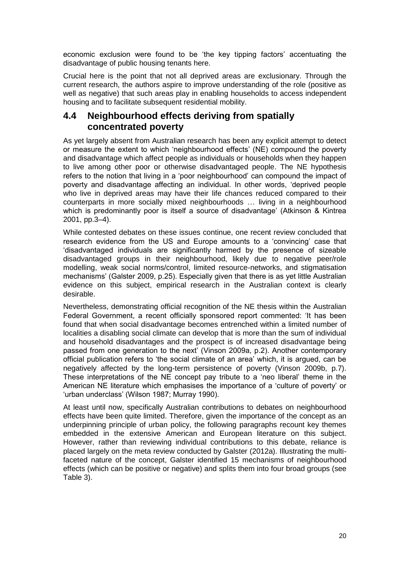economic exclusion were found to be 'the key tipping factors' accentuating the disadvantage of public housing tenants here.

Crucial here is the point that not all deprived areas are exclusionary. Through the current research, the authors aspire to improve understanding of the role (positive as well as negative) that such areas play in enabling households to access independent housing and to facilitate subsequent residential mobility.

#### <span id="page-26-0"></span>**4.4 Neighbourhood effects deriving from spatially concentrated poverty**

As yet largely absent from Australian research has been any explicit attempt to detect or measure the extent to which 'neighbourhood effects' (NE) compound the poverty and disadvantage which affect people as individuals or households when they happen to live among other poor or otherwise disadvantaged people. The NE hypothesis refers to the notion that living in a 'poor neighbourhood' can compound the impact of poverty and disadvantage affecting an individual. In other words, 'deprived people who live in deprived areas may have their life chances reduced compared to their counterparts in more socially mixed neighbourhoods … living in a neighbourhood which is predominantly poor is itself a source of disadvantage' (Atkinson & Kintrea 2001, pp.3–4).

While contested debates on these issues continue, one recent review concluded that research evidence from the US and Europe amounts to a 'convincing' case that 'disadvantaged individuals are significantly harmed by the presence of sizeable disadvantaged groups in their neighbourhood, likely due to negative peer/role modelling, weak social norms/control, limited resource-networks, and stigmatisation mechanisms' (Galster 2009, p.25). Especially given that there is as yet little Australian evidence on this subject, empirical research in the Australian context is clearly desirable.

Nevertheless, demonstrating official recognition of the NE thesis within the Australian Federal Government, a recent officially sponsored report commented: 'It has been found that when social disadvantage becomes entrenched within a limited number of localities a disabling social climate can develop that is more than the sum of individual and household disadvantages and the prospect is of increased disadvantage being passed from one generation to the next' (Vinson 2009a, p.2). Another contemporary official publication refers to 'the social climate of an area' which, it is argued, can be negatively affected by the long-term persistence of poverty (Vinson 2009b, p.7). These interpretations of the NE concept pay tribute to a 'neo liberal' theme in the American NE literature which emphasises the importance of a 'culture of poverty' or 'urban underclass' (Wilson 1987; Murray 1990).

At least until now, specifically Australian contributions to debates on neighbourhood effects have been quite limited. Therefore, given the importance of the concept as an underpinning principle of urban policy, the following paragraphs recount key themes embedded in the extensive American and European literature on this subject. However, rather than reviewing individual contributions to this debate, reliance is placed largely on the meta review conducted by Galster (2012a). Illustrating the multifaceted nature of the concept, Galster identified 15 mechanisms of neighbourhood effects (which can be positive or negative) and splits them into four broad groups (see Table 3).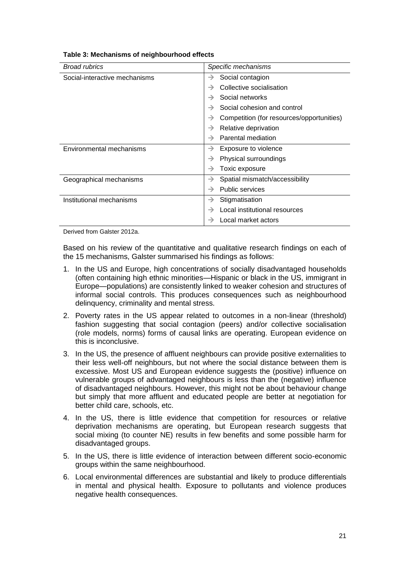| <b>Broad rubrics</b>          | Specific mechanisms                                        |
|-------------------------------|------------------------------------------------------------|
| Social-interactive mechanisms | Social contagion<br>→                                      |
|                               | Collective socialisation<br>$\rightarrow$                  |
|                               | Social networks<br>$\rightarrow$                           |
|                               | Social cohesion and control<br>$\rightarrow$               |
|                               | Competition (for resources/opportunities)<br>$\rightarrow$ |
|                               | Relative deprivation<br>→                                  |
|                               | Parental mediation<br>$\rightarrow$                        |
| Environmental mechanisms      | Exposure to violence<br>→                                  |
|                               | Physical surroundings<br>$\rightarrow$                     |
|                               | Toxic exposure<br>→                                        |
| Geographical mechanisms       | Spatial mismatch/accessibility<br>$\rightarrow$            |
|                               | <b>Public services</b><br>$\rightarrow$                    |
| Institutional mechanisms      | Stigmatisation<br>$\rightarrow$                            |
|                               | Local institutional resources<br>$\rightarrow$             |
|                               | Local market actors<br>$\rightarrow$                       |
|                               |                                                            |

#### <span id="page-27-0"></span>**Table 3: Mechanisms of neighbourhood effects**

Derived from Galster 2012a.

Based on his review of the quantitative and qualitative research findings on each of the 15 mechanisms, Galster summarised his findings as follows:

- 1. In the US and Europe, high concentrations of socially disadvantaged households (often containing high ethnic minorities—Hispanic or black in the US, immigrant in Europe—populations) are consistently linked to weaker cohesion and structures of informal social controls. This produces consequences such as neighbourhood delinquency, criminality and mental stress.
- 2. Poverty rates in the US appear related to outcomes in a non-linear (threshold) fashion suggesting that social contagion (peers) and/or collective socialisation (role models, norms) forms of causal links are operating. European evidence on this is inconclusive.
- 3. In the US, the presence of affluent neighbours can provide positive externalities to their less well-off neighbours, but not where the social distance between them is excessive. Most US and European evidence suggests the (positive) influence on vulnerable groups of advantaged neighbours is less than the (negative) influence of disadvantaged neighbours. However, this might not be about behaviour change but simply that more affluent and educated people are better at negotiation for better child care, schools, etc.
- 4. In the US, there is little evidence that competition for resources or relative deprivation mechanisms are operating, but European research suggests that social mixing (to counter NE) results in few benefits and some possible harm for disadvantaged groups.
- 5. In the US, there is little evidence of interaction between different socio-economic groups within the same neighbourhood.
- 6. Local environmental differences are substantial and likely to produce differentials in mental and physical health. Exposure to pollutants and violence produces negative health consequences.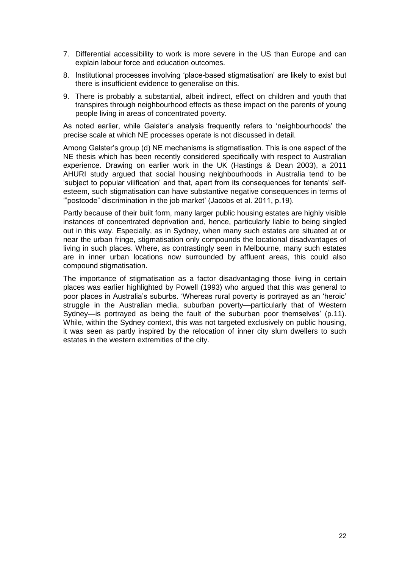- 7. Differential accessibility to work is more severe in the US than Europe and can explain labour force and education outcomes.
- 8. Institutional processes involving 'place-based stigmatisation' are likely to exist but there is insufficient evidence to generalise on this.
- 9. There is probably a substantial, albeit indirect, effect on children and youth that transpires through neighbourhood effects as these impact on the parents of young people living in areas of concentrated poverty.

As noted earlier, while Galster's analysis frequently refers to 'neighbourhoods' the precise scale at which NE processes operate is not discussed in detail.

Among Galster's group (d) NE mechanisms is stigmatisation. This is one aspect of the NE thesis which has been recently considered specifically with respect to Australian experience. Drawing on earlier work in the UK (Hastings & Dean 2003), a 2011 AHURI study argued that social housing neighbourhoods in Australia tend to be 'subject to popular vilification' and that, apart from its consequences for tenants' selfesteem, such stigmatisation can have substantive negative consequences in terms of '"postcode" discrimination in the job market' (Jacobs et al. 2011, p.19).

Partly because of their built form, many larger public housing estates are highly visible instances of concentrated deprivation and, hence, particularly liable to being singled out in this way. Especially, as in Sydney, when many such estates are situated at or near the urban fringe, stigmatisation only compounds the locational disadvantages of living in such places. Where, as contrastingly seen in Melbourne, many such estates are in inner urban locations now surrounded by affluent areas, this could also compound stigmatisation.

The importance of stigmatisation as a factor disadvantaging those living in certain places was earlier highlighted by Powell (1993) who argued that this was general to poor places in Australia's suburbs. 'Whereas rural poverty is portrayed as an 'heroic' struggle in the Australian media, suburban poverty—particularly that of Western Sydney—is portrayed as being the fault of the suburban poor themselves' (p.11). While, within the Sydney context, this was not targeted exclusively on public housing, it was seen as partly inspired by the relocation of inner city slum dwellers to such estates in the western extremities of the city.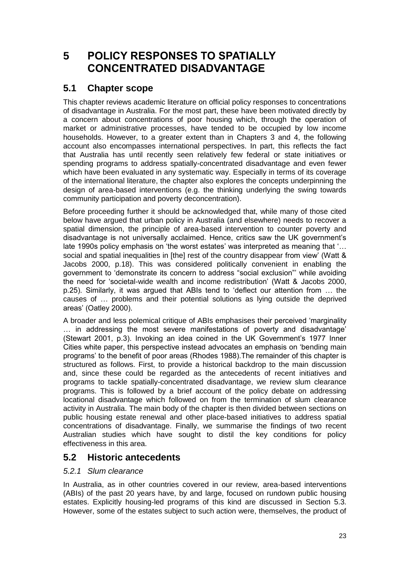## <span id="page-29-0"></span>**5 POLICY RESPONSES TO SPATIALLY CONCENTRATED DISADVANTAGE**

## <span id="page-29-1"></span>**5.1 Chapter scope**

This chapter reviews academic literature on official policy responses to concentrations of disadvantage in Australia. For the most part, these have been motivated directly by a concern about concentrations of poor housing which, through the operation of market or administrative processes, have tended to be occupied by low income households. However, to a greater extent than in Chapters 3 and 4, the following account also encompasses international perspectives. In part, this reflects the fact that Australia has until recently seen relatively few federal or state initiatives or spending programs to address spatially-concentrated disadvantage and even fewer which have been evaluated in any systematic way. Especially in terms of its coverage of the international literature, the chapter also explores the concepts underpinning the design of area-based interventions (e.g. the thinking underlying the swing towards community participation and poverty deconcentration).

Before proceeding further it should be acknowledged that, while many of those cited below have argued that urban policy in Australia (and elsewhere) needs to recover a spatial dimension, the principle of area-based intervention to counter poverty and disadvantage is not universally acclaimed. Hence, critics saw the UK government's late 1990s policy emphasis on 'the worst estates' was interpreted as meaning that '… social and spatial inequalities in [the] rest of the country disappear from view' (Watt & Jacobs 2000, p.18). This was considered politically convenient in enabling the government to 'demonstrate its concern to address "social exclusion"' while avoiding the need for 'societal-wide wealth and income redistribution' (Watt & Jacobs 2000, p.25). Similarly, it was argued that ABIs tend to 'deflect our attention from … the causes of … problems and their potential solutions as lying outside the deprived areas' (Oatley 2000).

A broader and less polemical critique of ABIs emphasises their perceived 'marginality … in addressing the most severe manifestations of poverty and disadvantage' (Stewart 2001, p.3). Invoking an idea coined in the UK Government's 1977 Inner Cities white paper, this perspective instead advocates an emphasis on 'bending main programs' to the benefit of poor areas (Rhodes 1988).The remainder of this chapter is structured as follows. First, to provide a historical backdrop to the main discussion and, since these could be regarded as the antecedents of recent initiatives and programs to tackle spatially-concentrated disadvantage, we review slum clearance programs. This is followed by a brief account of the policy debate on addressing locational disadvantage which followed on from the termination of slum clearance activity in Australia. The main body of the chapter is then divided between sections on public housing estate renewal and other place-based initiatives to address spatial concentrations of disadvantage. Finally, we summarise the findings of two recent Australian studies which have sought to distil the key conditions for policy effectiveness in this area.

#### <span id="page-29-2"></span>**5.2 Historic antecedents**

#### <span id="page-29-3"></span>*5.2.1 Slum clearance*

In Australia, as in other countries covered in our review, area-based interventions (ABIs) of the past 20 years have, by and large, focused on rundown public housing estates. Explicitly housing-led programs of this kind are discussed in Section 5.3. However, some of the estates subject to such action were, themselves, the product of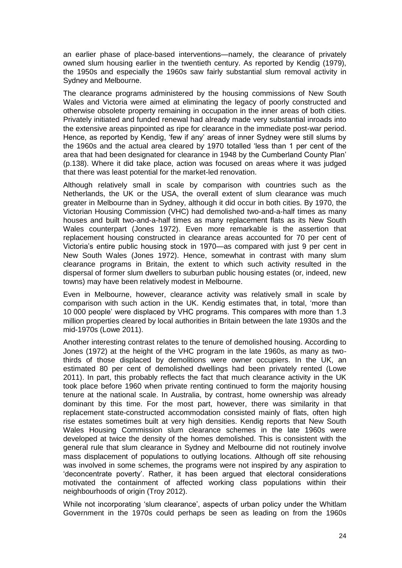an earlier phase of place-based interventions—namely, the clearance of privately owned slum housing earlier in the twentieth century. As reported by Kendig (1979), the 1950s and especially the 1960s saw fairly substantial slum removal activity in Sydney and Melbourne.

The clearance programs administered by the housing commissions of New South Wales and Victoria were aimed at eliminating the legacy of poorly constructed and otherwise obsolete property remaining in occupation in the inner areas of both cities. Privately initiated and funded renewal had already made very substantial inroads into the extensive areas pinpointed as ripe for clearance in the immediate post-war period. Hence, as reported by Kendig, 'few if any' areas of inner Sydney were still slums by the 1960s and the actual area cleared by 1970 totalled 'less than 1 per cent of the area that had been designated for clearance in 1948 by the Cumberland County Plan' (p.138). Where it did take place, action was focused on areas where it was judged that there was least potential for the market-led renovation.

Although relatively small in scale by comparison with countries such as the Netherlands, the UK or the USA, the overall extent of slum clearance was much greater in Melbourne than in Sydney, although it did occur in both cities. By 1970, the Victorian Housing Commission (VHC) had demolished two-and-a-half times as many houses and built two-and-a-half times as many replacement flats as its New South Wales counterpart (Jones 1972). Even more remarkable is the assertion that replacement housing constructed in clearance areas accounted for 70 per cent of Victoria's entire public housing stock in 1970—as compared with just 9 per cent in New South Wales (Jones 1972). Hence, somewhat in contrast with many slum clearance programs in Britain, the extent to which such activity resulted in the dispersal of former slum dwellers to suburban public housing estates (or, indeed, new towns) may have been relatively modest in Melbourne.

Even in Melbourne, however, clearance activity was relatively small in scale by comparison with such action in the UK. Kendig estimates that, in total, 'more than 10 000 people' were displaced by VHC programs. This compares with more than 1.3 million properties cleared by local authorities in Britain between the late 1930s and the mid-1970s (Lowe 2011).

Another interesting contrast relates to the tenure of demolished housing. According to Jones (1972) at the height of the VHC program in the late 1960s, as many as twothirds of those displaced by demolitions were owner occupiers. In the UK, an estimated 80 per cent of demolished dwellings had been privately rented (Lowe 2011). In part, this probably reflects the fact that much clearance activity in the UK took place before 1960 when private renting continued to form the majority housing tenure at the national scale. In Australia, by contrast, home ownership was already dominant by this time. For the most part, however, there was similarity in that replacement state-constructed accommodation consisted mainly of flats, often high rise estates sometimes built at very high densities. Kendig reports that New South Wales Housing Commission slum clearance schemes in the late 1960s were developed at twice the density of the homes demolished. This is consistent with the general rule that slum clearance in Sydney and Melbourne did not routinely involve mass displacement of populations to outlying locations. Although off site rehousing was involved in some schemes, the programs were not inspired by any aspiration to 'deconcentrate poverty'. Rather, it has been argued that electoral considerations motivated the containment of affected working class populations within their neighbourhoods of origin (Troy 2012).

While not incorporating 'slum clearance', aspects of urban policy under the Whitlam Government in the 1970s could perhaps be seen as leading on from the 1960s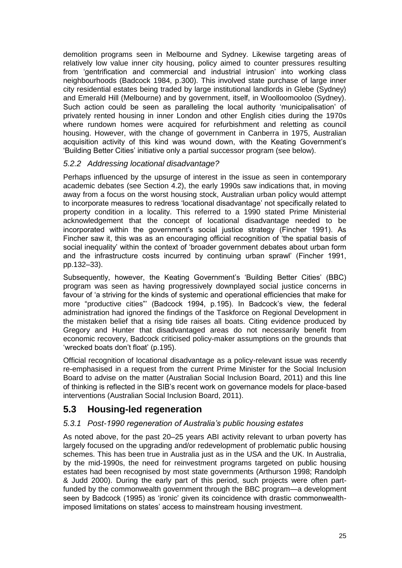demolition programs seen in Melbourne and Sydney. Likewise targeting areas of relatively low value inner city housing, policy aimed to counter pressures resulting from 'gentrification and commercial and industrial intrusion' into working class neighbourhoods (Badcock 1984, p.300). This involved state purchase of large inner city residential estates being traded by large institutional landlords in Glebe (Sydney) and Emerald Hill (Melbourne) and by government, itself, in Woolloomooloo (Sydney). Such action could be seen as paralleling the local authority 'municipalisation' of privately rented housing in inner London and other English cities during the 1970s where rundown homes were acquired for refurbishment and reletting as council housing. However, with the change of government in Canberra in 1975, Australian acquisition activity of this kind was wound down, with the Keating Government's 'Building Better Cities' initiative only a partial successor program (see below).

#### <span id="page-31-0"></span>*5.2.2 Addressing locational disadvantage?*

Perhaps influenced by the upsurge of interest in the issue as seen in contemporary academic debates (see Section 4.2), the early 1990s saw indications that, in moving away from a focus on the worst housing stock, Australian urban policy would attempt to incorporate measures to redress 'locational disadvantage' not specifically related to property condition in a locality. This referred to a 1990 stated Prime Ministerial acknowledgement that the concept of locational disadvantage needed to be incorporated within the government's social justice strategy (Fincher 1991). As Fincher saw it, this was as an encouraging official recognition of 'the spatial basis of social inequality' within the context of 'broader government debates about urban form and the infrastructure costs incurred by continuing urban sprawl' (Fincher 1991, pp.132–33).

Subsequently, however, the Keating Government's 'Building Better Cities' (BBC) program was seen as having progressively downplayed social justice concerns in favour of 'a striving for the kinds of systemic and operational efficiencies that make for more "productive cities"' (Badcock 1994, p.195). In Badcock's view, the federal administration had ignored the findings of the Taskforce on Regional Development in the mistaken belief that a rising tide raises all boats. Citing evidence produced by Gregory and Hunter that disadvantaged areas do not necessarily benefit from economic recovery, Badcock criticised policy-maker assumptions on the grounds that 'wrecked boats don't float' (p.195).

Official recognition of locational disadvantage as a policy-relevant issue was recently re-emphasised in a request from the current Prime Minister for the Social Inclusion Board to advise on the matter (Australian Social Inclusion Board, 2011) and this line of thinking is reflected in the SIB's recent work on governance models for place-based interventions (Australian Social Inclusion Board, 2011).

## <span id="page-31-1"></span>**5.3 Housing-led regeneration**

#### <span id="page-31-2"></span>*5.3.1 Post-1990 regeneration of Australia's public housing estates*

As noted above, for the past 20–25 years ABI activity relevant to urban poverty has largely focused on the upgrading and/or redevelopment of problematic public housing schemes. This has been true in Australia just as in the USA and the UK. In Australia, by the mid-1990s, the need for reinvestment programs targeted on public housing estates had been recognised by most state governments (Arthurson 1998; Randolph & Judd 2000). During the early part of this period, such projects were often partfunded by the commonwealth government through the BBC program—a development seen by Badcock (1995) as 'ironic' given its coincidence with drastic commonwealthimposed limitations on states' access to mainstream housing investment.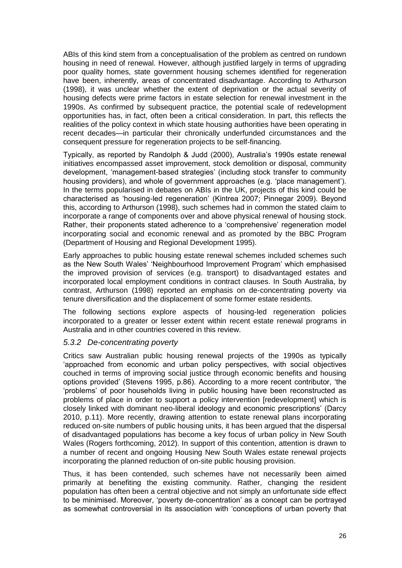ABIs of this kind stem from a conceptualisation of the problem as centred on rundown housing in need of renewal. However, although justified largely in terms of upgrading poor quality homes, state government housing schemes identified for regeneration have been, inherently, areas of concentrated disadvantage. According to Arthurson (1998), it was unclear whether the extent of deprivation or the actual severity of housing defects were prime factors in estate selection for renewal investment in the 1990s. As confirmed by subsequent practice, the potential scale of redevelopment opportunities has, in fact, often been a critical consideration. In part, this reflects the realities of the policy context in which state housing authorities have been operating in recent decades—in particular their chronically underfunded circumstances and the consequent pressure for regeneration projects to be self-financing.

Typically, as reported by Randolph & Judd (2000), Australia's 1990s estate renewal initiatives encompassed asset improvement, stock demolition or disposal, community development, 'management-based strategies' (including stock transfer to community housing providers), and whole of government approaches (e.g. 'place management'). In the terms popularised in debates on ABIs in the UK, projects of this kind could be characterised as 'housing-led regeneration' (Kintrea 2007; Pinnegar 2009). Beyond this, according to Arthurson (1998), such schemes had in common the stated claim to incorporate a range of components over and above physical renewal of housing stock. Rather, their proponents stated adherence to a 'comprehensive' regeneration model incorporating social and economic renewal and as promoted by the BBC Program (Department of Housing and Regional Development 1995).

Early approaches to public housing estate renewal schemes included schemes such as the New South Wales' 'Neighbourhood Improvement Program' which emphasised the improved provision of services (e.g. transport) to disadvantaged estates and incorporated local employment conditions in contract clauses. In South Australia, by contrast, Arthurson (1998) reported an emphasis on de-concentrating poverty via tenure diversification and the displacement of some former estate residents.

The following sections explore aspects of housing-led regeneration policies incorporated to a greater or lesser extent within recent estate renewal programs in Australia and in other countries covered in this review.

#### <span id="page-32-0"></span>*5.3.2 De-concentrating poverty*

Critics saw Australian public housing renewal projects of the 1990s as typically 'approached from economic and urban policy perspectives, with social objectives couched in terms of improving social justice through economic benefits and housing options provided' (Stevens 1995, p.86). According to a more recent contributor, 'the 'problems' of poor households living in public housing have been reconstructed as problems of place in order to support a policy intervention [redevelopment] which is closely linked with dominant neo-liberal ideology and economic prescriptions' (Darcy 2010, p.11). More recently, drawing attention to estate renewal plans incorporating reduced on-site numbers of public housing units, it has been argued that the dispersal of disadvantaged populations has become a key focus of urban policy in New South Wales (Rogers forthcoming, 2012). In support of this contention, attention is drawn to a number of recent and ongoing Housing New South Wales estate renewal projects incorporating the planned reduction of on-site public housing provision.

Thus, it has been contended, such schemes have not necessarily been aimed primarily at benefiting the existing community. Rather, changing the resident population has often been a central objective and not simply an unfortunate side effect to be minimised. Moreover, 'poverty de-concentration' as a concept can be portrayed as somewhat controversial in its association with 'conceptions of urban poverty that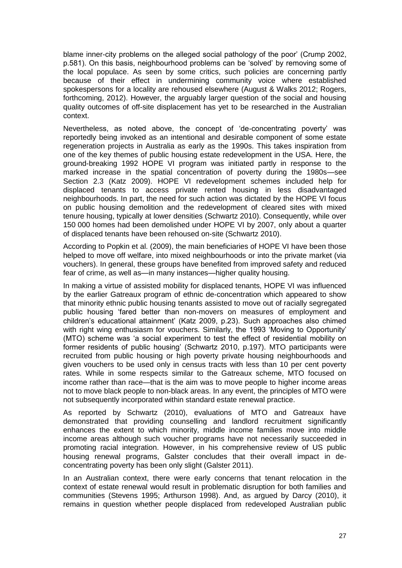blame inner-city problems on the alleged social pathology of the poor' (Crump 2002, p.581). On this basis, neighbourhood problems can be 'solved' by removing some of the local populace. As seen by some critics, such policies are concerning partly because of their effect in undermining community voice where established spokespersons for a locality are rehoused elsewhere (August & Walks 2012; Rogers, forthcoming, 2012). However, the arguably larger question of the social and housing quality outcomes of off-site displacement has yet to be researched in the Australian context.

Nevertheless, as noted above, the concept of 'de-concentrating poverty' was reportedly being invoked as an intentional and desirable component of some estate regeneration projects in Australia as early as the 1990s. This takes inspiration from one of the key themes of public housing estate redevelopment in the USA. Here, the ground-breaking 1992 HOPE VI program was initiated partly in response to the marked increase in the spatial concentration of poverty during the 1980s—see Section 2.3 (Katz 2009). HOPE VI redevelopment schemes included help for displaced tenants to access private rented housing in less disadvantaged neighbourhoods. In part, the need for such action was dictated by the HOPE VI focus on public housing demolition and the redevelopment of cleared sites with mixed tenure housing, typically at lower densities (Schwartz 2010). Consequently, while over 150 000 homes had been demolished under HOPE VI by 2007, only about a quarter of displaced tenants have been rehoused on-site (Schwartz 2010).

According to Popkin et al. (2009), the main beneficiaries of HOPE VI have been those helped to move off welfare, into mixed neighbourhoods or into the private market (via vouchers). In general, these groups have benefited from improved safety and reduced fear of crime, as well as—in many instances—higher quality housing.

In making a virtue of assisted mobility for displaced tenants, HOPE VI was influenced by the earlier Gatreaux program of ethnic de-concentration which appeared to show that minority ethnic public housing tenants assisted to move out of racially segregated public housing 'fared better than non-movers on measures of employment and children's educational attainment' (Katz 2009, p.23). Such approaches also chimed with right wing enthusiasm for vouchers. Similarly, the 1993 'Moving to Opportunity' (MTO) scheme was 'a social experiment to test the effect of residential mobility on former residents of public housing' (Schwartz 2010, p.197). MTO participants were recruited from public housing or high poverty private housing neighbourhoods and given vouchers to be used only in census tracts with less than 10 per cent poverty rates. While in some respects similar to the Gatreaux scheme, MTO focused on income rather than race—that is the aim was to move people to higher income areas not to move black people to non-black areas. In any event, the principles of MTO were not subsequently incorporated within standard estate renewal practice.

As reported by Schwartz (2010), evaluations of MTO and Gatreaux have demonstrated that providing counselling and landlord recruitment significantly enhances the extent to which minority, middle income families move into middle income areas although such voucher programs have not necessarily succeeded in promoting racial integration. However, in his comprehensive review of US public housing renewal programs, Galster concludes that their overall impact in deconcentrating poverty has been only slight (Galster 2011).

In an Australian context, there were early concerns that tenant relocation in the context of estate renewal would result in problematic disruption for both families and communities (Stevens 1995; Arthurson 1998). And, as argued by Darcy (2010), it remains in question whether people displaced from redeveloped Australian public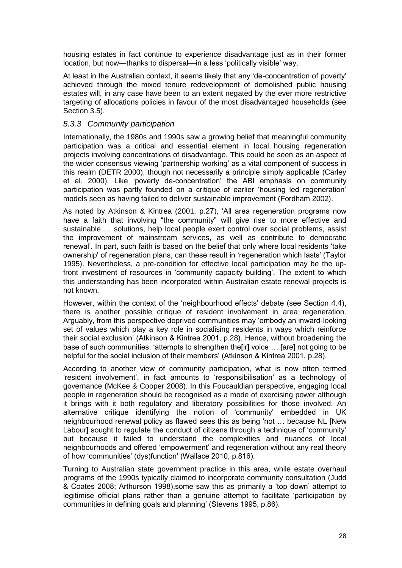housing estates in fact continue to experience disadvantage just as in their former location, but now—thanks to dispersal—in a less 'politically visible' way.

At least in the Australian context, it seems likely that any 'de-concentration of poverty' achieved through the mixed tenure redevelopment of demolished public housing estates will, in any case have been to an extent negated by the ever more restrictive targeting of allocations policies in favour of the most disadvantaged households (see Section 3.5).

#### <span id="page-34-0"></span>*5.3.3 Community participation*

Internationally, the 1980s and 1990s saw a growing belief that meaningful community participation was a critical and essential element in local housing regeneration projects involving concentrations of disadvantage. This could be seen as an aspect of the wider consensus viewing 'partnership working' as a vital component of success in this realm (DETR 2000), though not necessarily a principle simply applicable (Carley et al. 2000). Like 'poverty de-concentration' the ABI emphasis on community participation was partly founded on a critique of earlier 'housing led regeneration' models seen as having failed to deliver sustainable improvement (Fordham 2002).

As noted by Atkinson & Kintrea (2001, p.27), 'All area regeneration programs now have a faith that involving "the community" will give rise to more effective and sustainable … solutions, help local people exert control over social problems, assist the improvement of mainstream services, as well as contribute to democratic renewal'. In part, such faith is based on the belief that only where local residents 'take ownership' of regeneration plans, can these result in 'regeneration which lasts' (Taylor 1995). Nevertheless, a pre-condition for effective local participation may be the upfront investment of resources in 'community capacity building'. The extent to which this understanding has been incorporated within Australian estate renewal projects is not known.

However, within the context of the 'neighbourhood effects' debate (see Section 4.4), there is another possible critique of resident involvement in area regeneration. Arguably, from this perspective deprived communities may 'embody an inward-looking set of values which play a key role in socialising residents in ways which reinforce their social exclusion' (Atkinson & Kintrea 2001, p.28). Hence, without broadening the base of such communities, 'attempts to strengthen the[ir] voice … [are] not going to be helpful for the social inclusion of their members' (Atkinson & Kintrea 2001, p.28).

According to another view of community participation, what is now often termed 'resident involvement', in fact amounts to 'responsibilisation' as a technology of governance (McKee & Cooper 2008). In this Foucauldian perspective, engaging local people in regeneration should be recognised as a mode of exercising power although it brings with it both regulatory and liberatory possibilities for those involved. An alternative critique identifying the notion of 'community' embedded in UK neighbourhood renewal policy as flawed sees this as being 'not … because NL [New Labour] sought to regulate the conduct of citizens through a technique of 'community' but because it failed to understand the complexities and nuances of local neighbourhoods and offered 'empowerment' and regeneration without any real theory of how 'communities' (dys)function' (Wallace 2010, p.816).

Turning to Australian state government practice in this area, while estate overhaul programs of the 1990s typically claimed to incorporate community consultation (Judd & Coates 2008; Arthurson 1998),some saw this as primarily a 'top down' attempt to legitimise official plans rather than a genuine attempt to facilitate 'participation by communities in defining goals and planning' (Stevens 1995, p.86).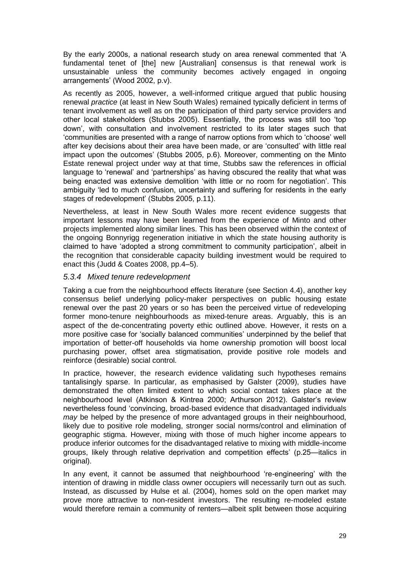By the early 2000s, a national research study on area renewal commented that 'A fundamental tenet of [the] new [Australian] consensus is that renewal work is unsustainable unless the community becomes actively engaged in ongoing arrangements' (Wood 2002, p.v).

As recently as 2005, however, a well-informed critique argued that public housing renewal *practice* (at least in New South Wales) remained typically deficient in terms of tenant involvement as well as on the participation of third party service providers and other local stakeholders (Stubbs 2005). Essentially, the process was still too 'top down', with consultation and involvement restricted to its later stages such that 'communities are presented with a range of narrow options from which to 'choose' well after key decisions about their area have been made, or are 'consulted' with little real impact upon the outcomes' (Stubbs 2005, p.6). Moreover, commenting on the Minto Estate renewal project under way at that time, Stubbs saw the references in official language to 'renewal' and 'partnerships' as having obscured the reality that what was being enacted was extensive demolition 'with little or no room for negotiation'. This ambiguity 'led to much confusion, uncertainty and suffering for residents in the early stages of redevelopment' (Stubbs 2005, p.11).

Nevertheless, at least in New South Wales more recent evidence suggests that important lessons may have been learned from the experience of Minto and other projects implemented along similar lines. This has been observed within the context of the ongoing Bonnyrigg regeneration initiative in which the state housing authority is claimed to have 'adopted a strong commitment to community participation', albeit in the recognition that considerable capacity building investment would be required to enact this (Judd & Coates 2008, pp.4–5).

#### <span id="page-35-0"></span>*5.3.4 Mixed tenure redevelopment*

Taking a cue from the neighbourhood effects literature (see Section 4.4), another key consensus belief underlying policy-maker perspectives on public housing estate renewal over the past 20 years or so has been the perceived virtue of redeveloping former mono-tenure neighbourhoods as mixed-tenure areas. Arguably, this is an aspect of the de-concentrating poverty ethic outlined above. However, it rests on a more positive case for 'socially balanced communities' underpinned by the belief that importation of better-off households via home ownership promotion will boost local purchasing power, offset area stigmatisation, provide positive role models and reinforce (desirable) social control.

In practice, however, the research evidence validating such hypotheses remains tantalisingly sparse. In particular, as emphasised by Galster (2009), studies have demonstrated the often limited extent to which social contact takes place at the neighbourhood level (Atkinson & Kintrea 2000; Arthurson 2012). Galster's review nevertheless found 'convincing, broad-based evidence that disadvantaged individuals *may* be helped by the presence of more advantaged groups in their neighbourhood, likely due to positive role modeling, stronger social norms/control and elimination of geographic stigma. However, mixing with those of much higher income appears to produce inferior outcomes for the disadvantaged relative to mixing with middle-income groups, likely through relative deprivation and competition effects' (p.25—italics in original).

In any event, it cannot be assumed that neighbourhood 're-engineering' with the intention of drawing in middle class owner occupiers will necessarily turn out as such. Instead, as discussed by Hulse et al. (2004), homes sold on the open market may prove more attractive to non-resident investors. The resulting re-modeled estate would therefore remain a community of renters—albeit split between those acquiring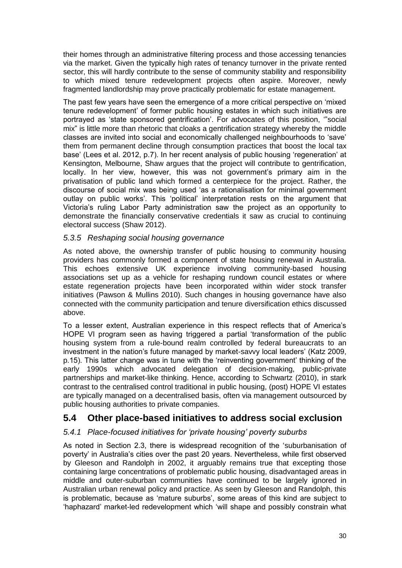their homes through an administrative filtering process and those accessing tenancies via the market. Given the typically high rates of tenancy turnover in the private rented sector, this will hardly contribute to the sense of community stability and responsibility to which mixed tenure redevelopment projects often aspire. Moreover, newly fragmented landlordship may prove practically problematic for estate management.

The past few years have seen the emergence of a more critical perspective on 'mixed tenure redevelopment' of former public housing estates in which such initiatives are portrayed as 'state sponsored gentrification'. For advocates of this position, '"social mix" is little more than rhetoric that cloaks a gentrification strategy whereby the middle classes are invited into social and economically challenged neighbourhoods to 'save' them from permanent decline through consumption practices that boost the local tax base' (Lees et al. 2012, p.7). In her recent analysis of public housing 'regeneration' at Kensington, Melbourne, Shaw argues that the project will contribute to gentrification, locally. In her view, however, this was not government's primary aim in the privatisation of public land which formed a centerpiece for the project. Rather, the discourse of social mix was being used 'as a rationalisation for minimal government outlay on public works'. This 'political' interpretation rests on the argument that Victoria's ruling Labor Party administration saw the project as an opportunity to demonstrate the financially conservative credentials it saw as crucial to continuing electoral success (Shaw 2012).

#### <span id="page-36-0"></span>*5.3.5 Reshaping social housing governance*

As noted above, the ownership transfer of public housing to community housing providers has commonly formed a component of state housing renewal in Australia. This echoes extensive UK experience involving community-based housing associations set up as a vehicle for reshaping rundown council estates or where estate regeneration projects have been incorporated within wider stock transfer initiatives (Pawson & Mullins 2010). Such changes in housing governance have also connected with the community participation and tenure diversification ethics discussed above.

To a lesser extent, Australian experience in this respect reflects that of America's HOPE VI program seen as having triggered a partial 'transformation of the public housing system from a rule-bound realm controlled by federal bureaucrats to an investment in the nation's future managed by market-savvy local leaders' (Katz 2009, p.15). This latter change was in tune with the 'reinventing government' thinking of the early 1990s which advocated delegation of decision-making, public-private partnerships and market-like thinking. Hence, according to Schwartz (2010), in stark contrast to the centralised control traditional in public housing, (post) HOPE VI estates are typically managed on a decentralised basis, often via management outsourced by public housing authorities to private companies.

#### <span id="page-36-1"></span>**5.4 Other place-based initiatives to address social exclusion**

#### <span id="page-36-2"></span>*5.4.1 Place-focused initiatives for 'private housing' poverty suburbs*

As noted in Section 2.3, there is widespread recognition of the 'suburbanisation of poverty' in Australia's cities over the past 20 years. Nevertheless, while first observed by Gleeson and Randolph in 2002, it arguably remains true that excepting those containing large concentrations of problematic public housing, disadvantaged areas in middle and outer-suburban communities have continued to be largely ignored in Australian urban renewal policy and practice. As seen by Gleeson and Randolph, this is problematic, because as 'mature suburbs', some areas of this kind are subject to 'haphazard' market-led redevelopment which 'will shape and possibly constrain what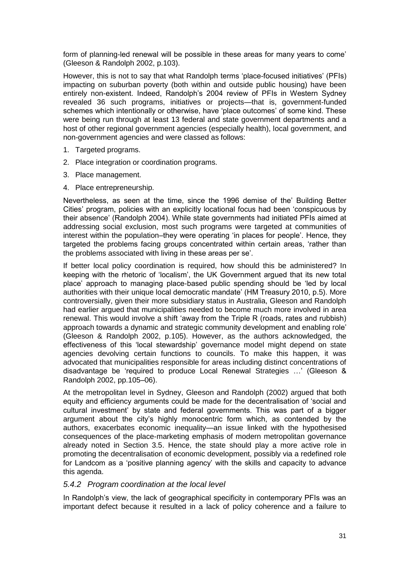form of planning-led renewal will be possible in these areas for many years to come' (Gleeson & Randolph 2002, p.103).

However, this is not to say that what Randolph terms 'place-focused initiatives' (PFIs) impacting on suburban poverty (both within and outside public housing) have been entirely non-existent. Indeed, Randolph's 2004 review of PFIs in Western Sydney revealed 36 such programs, initiatives or projects—that is, government-funded schemes which intentionally or otherwise, have 'place outcomes' of some kind. These were being run through at least 13 federal and state government departments and a host of other regional government agencies (especially health), local government, and non-government agencies and were classed as follows:

- 1. Targeted programs.
- 2. Place integration or coordination programs.
- 3. Place management.
- 4. Place entrepreneurship.

Nevertheless, as seen at the time, since the 1996 demise of the' Building Better Cities' program, policies with an explicitly locational focus had been 'conspicuous by their absence' (Randolph 2004). While state governments had initiated PFIs aimed at addressing social exclusion, most such programs were targeted at communities of interest within the population–they were operating 'in places for people'. Hence, they targeted the problems facing groups concentrated within certain areas, 'rather than the problems associated with living in these areas per se'.

If better local policy coordination is required, how should this be administered? In keeping with the rhetoric of 'localism', the UK Government argued that its new total place' approach to managing place-based public spending should be 'led by local authorities with their unique local democratic mandate' (HM Treasury 2010, p.5). More controversially, given their more subsidiary status in Australia, Gleeson and Randolph had earlier argued that municipalities needed to become much more involved in area renewal. This would involve a shift 'away from the Triple R (roads, rates and rubbish) approach towards a dynamic and strategic community development and enabling role' (Gleeson & Randolph 2002, p.105). However, as the authors acknowledged, the effectiveness of this 'local stewardship' governance model might depend on state agencies devolving certain functions to councils. To make this happen, it was advocated that municipalities responsible for areas including distinct concentrations of disadvantage be 'required to produce Local Renewal Strategies …' (Gleeson & Randolph 2002, pp.105–06).

At the metropolitan level in Sydney, Gleeson and Randolph (2002) argued that both equity and efficiency arguments could be made for the decentralisation of 'social and cultural investment' by state and federal governments. This was part of a bigger argument about the city's highly monocentric form which, as contended by the authors, exacerbates economic inequality—an issue linked with the hypothesised consequences of the place-marketing emphasis of modern metropolitan governance already noted in Section 3.5. Hence, the state should play a more active role in promoting the decentralisation of economic development, possibly via a redefined role for Landcom as a 'positive planning agency' with the skills and capacity to advance this agenda.

#### <span id="page-37-0"></span>*5.4.2 Program coordination at the local level*

In Randolph's view, the lack of geographical specificity in contemporary PFIs was an important defect because it resulted in a lack of policy coherence and a failure to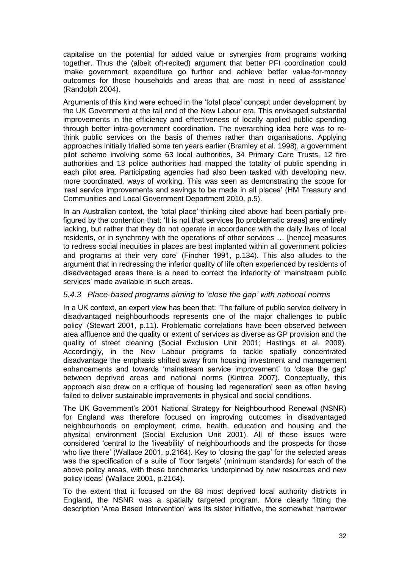capitalise on the potential for added value or synergies from programs working together. Thus the (albeit oft-recited) argument that better PFI coordination could 'make government expenditure go further and achieve better value-for-money outcomes for those households and areas that are most in need of assistance' (Randolph 2004).

Arguments of this kind were echoed in the 'total place' concept under development by the UK Government at the tail end of the New Labour era. This envisaged substantial improvements in the efficiency and effectiveness of locally applied public spending through better intra-government coordination. The overarching idea here was to rethink public services on the basis of themes rather than organisations. Applying approaches initially trialled some ten years earlier (Bramley et al. 1998), a government pilot scheme involving some 63 local authorities, 34 Primary Care Trusts, 12 fire authorities and 13 police authorities had mapped the totality of public spending in each pilot area. Participating agencies had also been tasked with developing new, more coordinated, ways of working. This was seen as demonstrating the scope for 'real service improvements and savings to be made in all places' (HM Treasury and Communities and Local Government Department 2010, p.5).

In an Australian context, the 'total place' thinking cited above had been partially prefigured by the contention that: 'It is not that services [to problematic areas] are entirely lacking, but rather that they do not operate in accordance with the daily lives of local residents, or in synchrony with the operations of other services … [hence] measures to redress social inequities in places are best implanted within all government policies and programs at their very core' (Fincher 1991, p.134). This also alludes to the argument that in redressing the inferior quality of life often experienced by residents of disadvantaged areas there is a need to correct the inferiority of 'mainstream public services' made available in such areas.

#### <span id="page-38-0"></span>*5.4.3 Place-based programs aiming to 'close the gap' with national norms*

In a UK context, an expert view has been that: 'The failure of public service delivery in disadvantaged neighbourhoods represents one of the major challenges to public policy' (Stewart 2001, p.11). Problematic correlations have been observed between area affluence and the quality or extent of services as diverse as GP provision and the quality of street cleaning (Social Exclusion Unit 2001; Hastings et al. 2009). Accordingly, in the New Labour programs to tackle spatially concentrated disadvantage the emphasis shifted away from housing investment and management enhancements and towards 'mainstream service improvement' to 'close the gap' between deprived areas and national norms (Kintrea 2007). Conceptually, this approach also drew on a critique of 'housing led regeneration' seen as often having failed to deliver sustainable improvements in physical and social conditions.

The UK Government's 2001 National Strategy for Neighbourhood Renewal (NSNR) for England was therefore focused on improving outcomes in disadvantaged neighbourhoods on employment, crime, health, education and housing and the physical environment (Social Exclusion Unit 2001). All of these issues were considered 'central to the 'liveability' of neighbourhoods and the prospects for those who live there' (Wallace 2001, p.2164). Key to 'closing the gap' for the selected areas was the specification of a suite of 'floor targets' (minimum standards) for each of the above policy areas, with these benchmarks 'underpinned by new resources and new policy ideas' (Wallace 2001, p.2164).

To the extent that it focused on the 88 most deprived local authority districts in England, the NSNR was a spatially targeted program. More clearly fitting the description 'Area Based Intervention' was its sister initiative, the somewhat 'narrower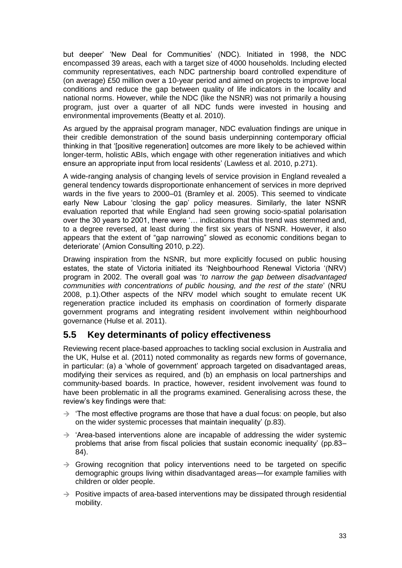but deeper' 'New Deal for Communities' (NDC). Initiated in 1998, the NDC encompassed 39 areas, each with a target size of 4000 households. Including elected community representatives, each NDC partnership board controlled expenditure of (on average) £50 million over a 10-year period and aimed on projects to improve local conditions and reduce the gap between quality of life indicators in the locality and national norms. However, while the NDC (like the NSNR) was not primarily a housing program, just over a quarter of all NDC funds were invested in housing and environmental improvements (Beatty et al. 2010).

As argued by the appraisal program manager, NDC evaluation findings are unique in their credible demonstration of the sound basis underpinning contemporary official thinking in that '[positive regeneration] outcomes are more likely to be achieved within longer-term, holistic ABIs, which engage with other regeneration initiatives and which ensure an appropriate input from local residents' (Lawless et al. 2010, p.271).

A wide-ranging analysis of changing levels of service provision in England revealed a general tendency towards disproportionate enhancement of services in more deprived wards in the five years to 2000–01 (Bramley et al. 2005). This seemed to vindicate early New Labour 'closing the gap' policy measures. Similarly, the later NSNR evaluation reported that while England had seen growing socio-spatial polarisation over the 30 years to 2001, there were '… indications that this trend was stemmed and, to a degree reversed, at least during the first six years of NSNR. However, it also appears that the extent of "gap narrowing" slowed as economic conditions began to deteriorate' (Amion Consulting 2010, p.22).

Drawing inspiration from the NSNR, but more explicitly focused on public housing estates, the state of Victoria initiated its 'Neighbourhood Renewal Victoria '(NRV) program in 2002. The overall goal was '*to narrow the gap between disadvantaged communities with concentrations of public housing, and the rest of the state*' (NRU 2008, p.1).Other aspects of the NRV model which sought to emulate recent UK regeneration practice included its emphasis on coordination of formerly disparate government programs and integrating resident involvement within neighbourhood governance (Hulse et al. 2011).

## <span id="page-39-0"></span>**5.5 Key determinants of policy effectiveness**

Reviewing recent place-based approaches to tackling social exclusion in Australia and the UK, Hulse et al. (2011) noted commonality as regards new forms of governance, in particular: (a) a 'whole of government' approach targeted on disadvantaged areas, modifying their services as required, and (b) an emphasis on local partnerships and community-based boards. In practice, however, resident involvement was found to have been problematic in all the programs examined. Generalising across these, the review's key findings were that:

- $\rightarrow$  'The most effective programs are those that have a dual focus: on people, but also on the wider systemic processes that maintain inequality' (p.83).
- $\rightarrow$  'Area-based interventions alone are incapable of addressing the wider systemic problems that arise from fiscal policies that sustain economic inequality' (pp.83– 84).
- $\rightarrow$  Growing recognition that policy interventions need to be targeted on specific demographic groups living within disadvantaged areas—for example families with children or older people.
- $\rightarrow$  Positive impacts of area-based interventions may be dissipated through residential mobility.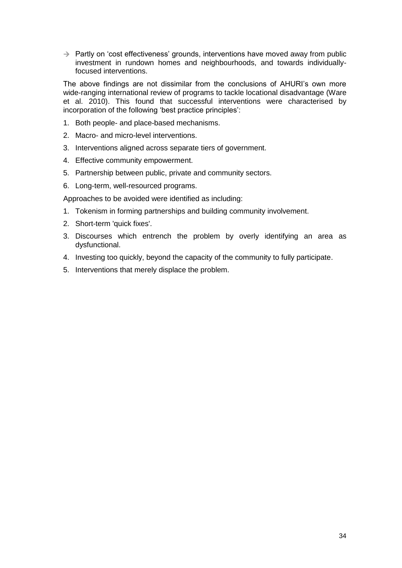$\rightarrow$  Partly on 'cost effectiveness' grounds, interventions have moved away from public investment in rundown homes and neighbourhoods, and towards individuallyfocused interventions.

The above findings are not dissimilar from the conclusions of AHURI's own more wide-ranging international review of programs to tackle locational disadvantage (Ware et al. 2010). This found that successful interventions were characterised by incorporation of the following 'best practice principles':

- 1. Both people- and place-based mechanisms.
- 2. Macro- and micro-level interventions.
- 3. Interventions aligned across separate tiers of government.
- 4. Effective community empowerment.
- 5. Partnership between public, private and community sectors.
- 6. Long-term, well-resourced programs.

Approaches to be avoided were identified as including:

- 1. Tokenism in forming partnerships and building community involvement.
- 2. Short-term 'quick fixes'.
- 3. Discourses which entrench the problem by overly identifying an area as dysfunctional.
- 4. Investing too quickly, beyond the capacity of the community to fully participate.
- 5. Interventions that merely displace the problem.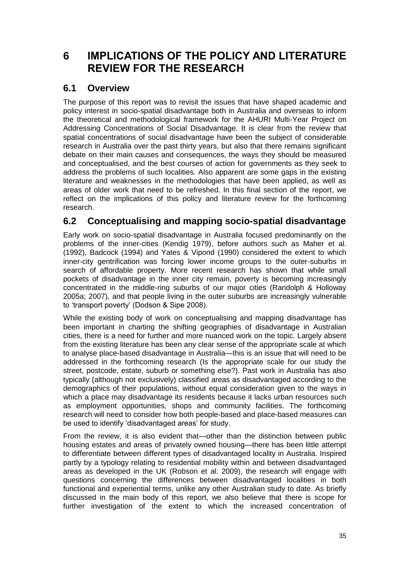## <span id="page-41-0"></span>**6 IMPLICATIONS OF THE POLICY AND LITERATURE REVIEW FOR THE RESEARCH**

## <span id="page-41-1"></span>**6.1 Overview**

The purpose of this report was to revisit the issues that have shaped academic and policy interest in socio-spatial disadvantage both in Australia and overseas to inform the theoretical and methodological framework for the AHURI Multi-Year Project on Addressing Concentrations of Social Disadvantage. It is clear from the review that spatial concentrations of social disadvantage have been the subject of considerable research in Australia over the past thirty years, but also that there remains significant debate on their main causes and consequences, the ways they should be measured and conceptualised, and the best courses of action for governments as they seek to address the problems of such localities. Also apparent are some gaps in the existing literature and weaknesses in the methodologies that have been applied, as well as areas of older work that need to be refreshed. In this final section of the report, we reflect on the implications of this policy and literature review for the forthcoming research.

## <span id="page-41-2"></span>**6.2 Conceptualising and mapping socio-spatial disadvantage**

Early work on socio-spatial disadvantage in Australia focused predominantly on the problems of the inner-cities (Kendig 1979), before authors such as Maher et al. (1992), Badcock (1994) and Yates & Vipond (1990) considered the extent to which inner-city gentrification was forcing lower income groups to the outer-suburbs in search of affordable property. More recent research has shown that while small pockets of disadvantage in the inner city remain, poverty is becoming increasingly concentrated in the middle-ring suburbs of our major cities (Randolph & Holloway 2005a; 2007), and that people living in the outer suburbs are increasingly vulnerable to 'transport poverty' (Dodson & Sipe 2008).

While the existing body of work on conceptualising and mapping disadvantage has been important in charting the shifting geographies of disadvantage in Australian cities, there is a need for further and more nuanced work on the topic. Largely absent from the existing literature has been any clear sense of the appropriate scale at which to analyse place-based disadvantage in Australia—this is an issue that will need to be addressed in the forthcoming research (Is the appropriate scale for our study the street, postcode, estate, suburb or something else?). Past work in Australia has also typically (although not exclusively) classified areas as disadvantaged according to the demographics of their populations, without equal consideration given to the ways in which a place may disadvantage its residents because it lacks urban resources such as employment opportunities, shops and community facilities. The forthcoming research will need to consider how both people-based and place-based measures can be used to identify 'disadvantaged areas' for study.

From the review, it is also evident that—other than the distinction between public housing estates and areas of privately owned housing—there has been little attempt to differentiate between different types of disadvantaged locality in Australia. Inspired partly by a typology relating to residential mobility within and between disadvantaged areas as developed in the UK (Robson et al. 2009), the research will engage with questions concerning the differences between disadvantaged localities in both functional and experiential terms, unlike any other Australian study to date. As briefly discussed in the main body of this report, we also believe that there is scope for further investigation of the extent to which the increased concentration of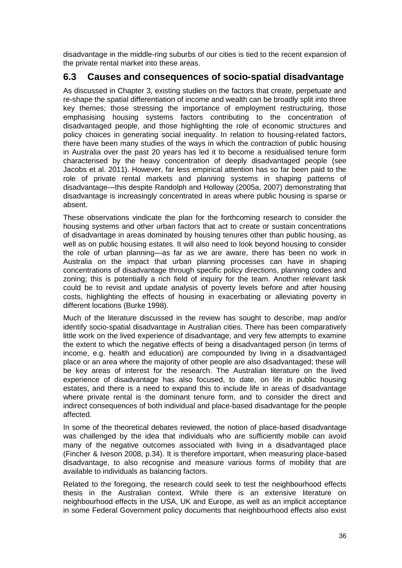disadvantage in the middle-ring suburbs of our cities is tied to the recent expansion of the private rental market into these areas.

### <span id="page-42-0"></span>**6.3 Causes and consequences of socio-spatial disadvantage**

As discussed in Chapter 3, existing studies on the factors that create, perpetuate and re-shape the spatial differentiation of income and wealth can be broadly split into three key themes; those stressing the importance of employment restructuring, those emphasising housing systems factors contributing to the concentration of disadvantaged people, and those highlighting the role of economic structures and policy choices in generating social inequality. In relation to housing-related factors, there have been many studies of the ways in which the contraction of public housing in Australia over the past 20 years has led it to become a residualised tenure form characterised by the heavy concentration of deeply disadvantaged people (see Jacobs et al. 2011). However, far less empirical attention has so far been paid to the role of private rental markets and planning systems in shaping patterns of disadvantage—this despite Randolph and Holloway (2005a, 2007) demonstrating that disadvantage is increasingly concentrated in areas where public housing is sparse or absent.

These observations vindicate the plan for the forthcoming research to consider the housing systems and other urban factors that act to create or sustain concentrations of disadvantage in areas dominated by housing tenures other than public housing, as well as on public housing estates. It will also need to look beyond housing to consider the role of urban planning—as far as we are aware, there has been no work in Australia on the impact that urban planning processes can have in shaping concentrations of disadvantage through specific policy directions, planning codes and zoning; this is potentially a rich field of inquiry for the team. Another relevant task could be to revisit and update analysis of poverty levels before and after housing costs, highlighting the effects of housing in exacerbating or alleviating poverty in different locations (Burke 1998).

Much of the literature discussed in the review has sought to describe, map and/or identify socio-spatial disadvantage in Australian cities. There has been comparatively little work on the lived experience of disadvantage, and very few attempts to examine the extent to which the negative effects of being a disadvantaged person (in terms of income, e.g. health and education) are compounded by living in a disadvantaged place or an area where the majority of other people are also disadvantaged; these will be key areas of interest for the research. The Australian literature on the lived experience of disadvantage has also focused, to date, on life in public housing estates, and there is a need to expand this to include life in areas of disadvantage where private rental is the dominant tenure form, and to consider the direct and indirect consequences of both individual and place-based disadvantage for the people affected.

In some of the theoretical debates reviewed, the notion of place-based disadvantage was challenged by the idea that individuals who are sufficiently mobile can avoid many of the negative outcomes associated with living in a disadvantaged place (Fincher & Iveson 2008, p.34). It is therefore important, when measuring place-based disadvantage, to also recognise and measure various forms of mobility that are available to individuals as balancing factors.

Related to the foregoing, the research could seek to test the neighbourhood effects thesis in the Australian context. While there is an extensive literature on neighbourhood effects in the USA, UK and Europe, as well as an implicit acceptance in some Federal Government policy documents that neighbourhood effects also exist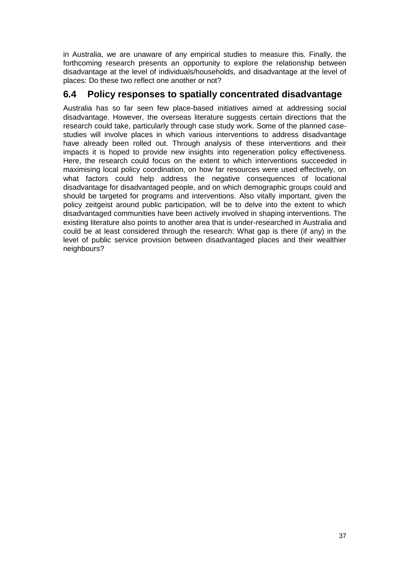in Australia, we are unaware of any empirical studies to measure this. Finally, the forthcoming research presents an opportunity to explore the relationship between disadvantage at the level of individuals/households, and disadvantage at the level of places: Do these two reflect one another or not?

### <span id="page-43-0"></span>**6.4 Policy responses to spatially concentrated disadvantage**

Australia has so far seen few place-based initiatives aimed at addressing social disadvantage. However, the overseas literature suggests certain directions that the research could take, particularly through case study work. Some of the planned casestudies will involve places in which various interventions to address disadvantage have already been rolled out. Through analysis of these interventions and their impacts it is hoped to provide new insights into regeneration policy effectiveness. Here, the research could focus on the extent to which interventions succeeded in maximising local policy coordination, on how far resources were used effectively, on what factors could help address the negative consequences of locational disadvantage for disadvantaged people, and on which demographic groups could and should be targeted for programs and interventions. Also vitally important, given the policy zeitgeist around public participation, will be to delve into the extent to which disadvantaged communities have been actively involved in shaping interventions. The existing literature also points to another area that is under-researched in Australia and could be at least considered through the research: What gap is there (if any) in the level of public service provision between disadvantaged places and their wealthier neighbours?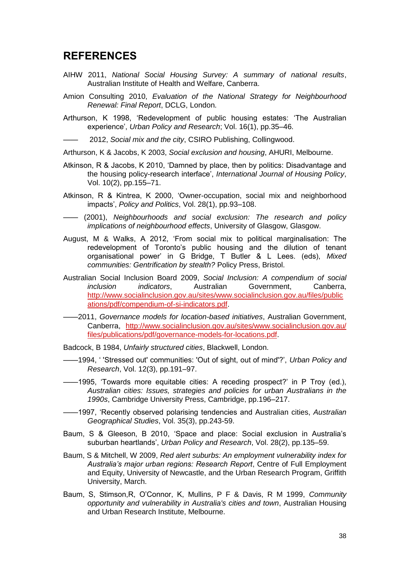## <span id="page-44-0"></span>**REFERENCES**

- AIHW 2011, *National Social Housing Survey: A summary of national results*, Australian Institute of Health and Welfare, Canberra.
- Amion Consulting 2010, *Evaluation of the National Strategy for Neighbourhood Renewal: Final Report*, DCLG, London.
- Arthurson, K 1998, 'Redevelopment of public housing estates: 'The Australian experience', *Urban Policy and Research*; Vol. 16(1), pp.35–46.
- —— 2012, *Social mix and the city*, CSIRO Publishing, Collingwood.

Arthurson, K & Jacobs, K 2003, *Social exclusion and housing*, AHURI, Melbourne.

- Atkinson, R & Jacobs, K 2010, 'Damned by place, then by politics: Disadvantage and the housing policy-research interface', *International Journal of Housing Policy*, Vol. 10(2), pp.155–71.
- Atkinson, R & Kintrea, K 2000, 'Owner-occupation, social mix and neighborhood impacts', *Policy and Politics*, Vol. 28(1), pp.93–108.
- —— (2001), *Neighbourhoods and social exclusion: The research and policy implications of neighbourhood effects*, University of Glasgow, Glasgow.
- August, M & Walks, A 2012, 'From social mix to political marginalisation: The redevelopment of Toronto's public housing and the dilution of tenant organisational power' in G Bridge, T Butler & L Lees. (eds), *Mixed communities: Gentrification by stealth?* Policy Press, Bristol.
- Australian Social Inclusion Board 2009, *Social Inclusion: A compendium of social inclusion indicators*, Australian Government, Canberra, [http://www.socialinclusion.gov.au/sites/www.socialinclusion.gov.au/files/public](http://www.socialinclusion.gov.au/sites/www.socialinclusion.gov.au/files/publications/pdf/compendium-of-si-indicators.pdf) [ations/pdf/compendium-of-si-indicators.pdf.](http://www.socialinclusion.gov.au/sites/www.socialinclusion.gov.au/files/publications/pdf/compendium-of-si-indicators.pdf)
- ——2011, *Governance models for location-based initiatives*, Australian Government, Canberra, [http://www.socialinclusion.gov.au/sites/www.socialinclusion.gov.au/](http://www.socialinclusion.gov.au/sites/www.socialinclusion.gov.au/%20files/publications/pdf/governance-models-for-locations.pdf)  [files/publications/pdf/governance-models-for-locations.pdf.](http://www.socialinclusion.gov.au/sites/www.socialinclusion.gov.au/%20files/publications/pdf/governance-models-for-locations.pdf)
- Badcock, B 1984, *Unfairly structured cities*, Blackwell, London.
- ——1994, ' 'Stressed out' communities: 'Out of sight, out of mind'?', *Urban Policy and Research*, Vol. 12(3), pp.191–97.
- ——1995, 'Towards more equitable cities: A receding prospect?' in P Troy (ed.), *Australian cities: Issues, strategies and policies for urban Australians in the 1990s*, Cambridge University Press, Cambridge, pp.196–217.
- ——1997, 'Recently observed polarising tendencies and Australian cities, *Australian Geographical Studies*, Vol. 35(3), pp.243-59.
- Baum, S & Gleeson, B 2010, 'Space and place: Social exclusion in Australia's suburban heartlands', *Urban Policy and Research*, Vol. 28(2), pp.135–59.
- Baum, S & Mitchell, W 2009, *Red alert suburbs: An employment vulnerability index for Australia's major urban regions: Research Report*, Centre of Full Employment and Equity, University of Newcastle, and the Urban Research Program, Griffith University, March.
- Baum, S, Stimson,R, O'Connor, K, Mullins, P F & Davis, R M 1999, *Community opportunity and vulnerability in Australia's cities and town*, Australian Housing and Urban Research Institute, Melbourne.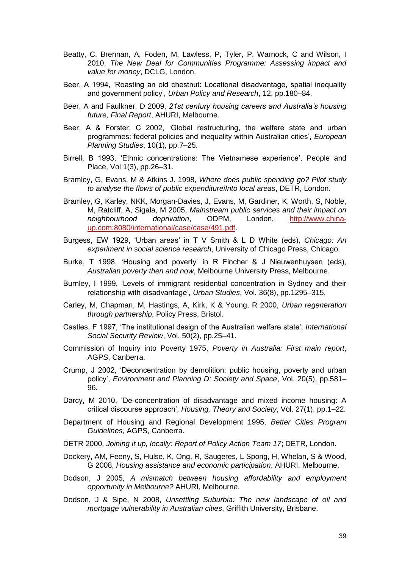- Beatty, C, Brennan, A, Foden, M, Lawless, P, Tyler, P, Warnock, C and Wilson, I 2010, *The New Deal for Communities Programme: Assessing impact and value for money*, DCLG, London.
- Beer, A 1994, 'Roasting an old chestnut: Locational disadvantage, spatial inequality and government policy', *Urban Policy and Research*, 12, pp.180–84.
- Beer, A and Faulkner, D 2009, *21st century housing careers and Australia's housing future, Final Report*, AHURI, Melbourne.
- Beer, A & Forster, C 2002, 'Global restructuring, the welfare state and urban programmes: federal policies and inequality within Australian cities', *European Planning Studies*, 10(1), pp.7–25.
- Birrell, B 1993, 'Ethnic concentrations: The Vietnamese experience', People and Place, Vol 1(3), pp.26–31.
- Bramley, G, Evans, M & Atkins J. 1998, *Where does public spending go? Pilot study to analyse the flows of public expenditureiInto local areas*, DETR, London.
- Bramley, G, Karley, NKK, Morgan-Davies, J, Evans, M, Gardiner, K, Worth, S, Noble, M, Ratcliff, A, Sigala, M 2005, *Mainstream public services and their impact on neighbourhood deprivation*, ODPM, London, [http://www.china](http://www.china-up.com:8080/international/case/case/491.pdf)[up.com:8080/international/case/case/491.pdf.](http://www.china-up.com:8080/international/case/case/491.pdf)
- Burgess, EW 1929, 'Urban areas' in T V Smith & L D White (eds), *Chicago: An experiment in social science research*, University of Chicago Press, Chicago.
- Burke, T 1998, 'Housing and poverty' in R Fincher & J Nieuwenhuysen (eds), *Australian poverty then and now*, Melbourne University Press, Melbourne.
- Burnley, I 1999, 'Levels of immigrant residential concentration in Sydney and their relationship with disadvantage', *Urban Studies*, Vol. 36(8), pp.1295–315.
- Carley, M, Chapman, M, Hastings, A, Kirk, K & Young, R 2000, *Urban regeneration through partnership*, Policy Press, Bristol.
- Castles, F 1997, 'The institutional design of the Australian welfare state', *International Social Security Review*, Vol. 50(2), pp.25–41.
- Commission of Inquiry into Poverty 1975, *Poverty in Australia: First main report*, AGPS, Canberra.
- Crump, J 2002, 'Deconcentration by demolition: public housing, poverty and urban policy', *Environment and Planning D: Society and Space*, Vol. 20(5), pp.581– 96.
- Darcy, M 2010, 'De-concentration of disadvantage and mixed income housing: A critical discourse approach', *Housing, Theory and Society*, Vol. 27(1), pp.1–22.
- Department of Housing and Regional Development 1995, *Better Cities Program Guidelines*, AGPS, Canberra.
- DETR 2000, *Joining it up, locally: Report of Policy Action Team 17*; DETR, London.
- Dockery, AM, Feeny, S, Hulse, K, Ong, R, Saugeres, L Spong, H, Whelan, S & Wood, G 2008, *Housing assistance and economic participation*, AHURI, Melbourne.
- Dodson, J 2005, *A mismatch between housing affordability and employment opportunity in Melbourne?* AHURI, Melbourne.
- Dodson, J & Sipe, N 2008, *Unsettling Suburbia: The new landscape of oil and mortgage vulnerability in Australian cities*, Griffith University, Brisbane.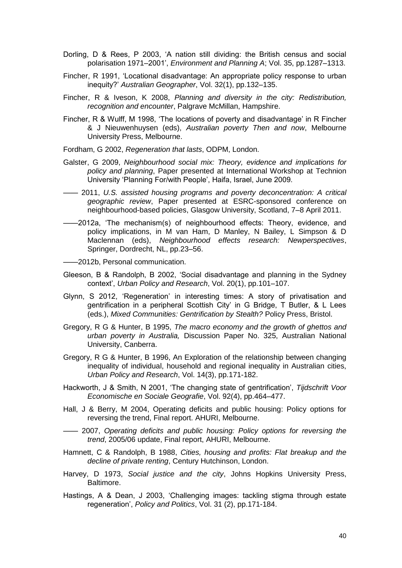- Dorling, D & Rees, P 2003, 'A nation still dividing: the British census and social polarisation 1971–2001', *Environment and Planning A*; Vol. 35, pp.1287–1313.
- Fincher, R 1991, 'Locational disadvantage: An appropriate policy response to urban inequity?' *Australian Geographer*, Vol. 32(1), pp.132–135.
- Fincher, R & Iveson, K 2008, *Planning and diversity in the city: Redistribution, recognition and encounter*, Palgrave McMillan, Hampshire.
- Fincher, R & Wulff, M 1998, 'The locations of poverty and disadvantage' in R Fincher & J Nieuwenhuysen (eds), *Australian poverty Then and now*, Melbourne University Press, Melbourne.
- Fordham, G 2002, *Regeneration that lasts*, ODPM, London.
- Galster, G 2009, *Neighbourhood social mix: Theory, evidence and implications for policy and planning*, Paper presented at International Workshop at Technion University 'Planning For/with People', Haifa, Israel, June 2009.
- —— 2011, *U.S. assisted housing programs and poverty deconcentration: A critical geographic review*, Paper presented at ESRC-sponsored conference on neighbourhood-based policies, Glasgow University, Scotland, 7–8 April 2011.
- ——2012a, 'The mechanism(s) of neighbourhood effects: Theory, evidence, and policy implications, in M van Ham, D Manley, N Bailey, L Simpson & D Maclennan (eds), *Neighbourhood effects research: Newperspectives*, Springer, Dordrecht, NL, pp.23–56.
- ——2012b, Personal communication.
- Gleeson, B & Randolph, B 2002, 'Social disadvantage and planning in the Sydney context', *Urban Policy and Research*, Vol. 20(1), pp.101–107.
- Glynn, S 2012, 'Regeneration' in interesting times: A story of privatisation and gentrification in a peripheral Scottish City' in G Bridge, T Butler, & L Lees (eds.), *Mixed Communities: Gentrification by Stealth?* Policy Press, Bristol.
- Gregory, R G & Hunter, B 1995, *The macro economy and the growth of ghettos and urban poverty in Australia,* Discussion Paper No. 325, Australian National University, Canberra.
- Gregory, R G & Hunter, B 1996, An Exploration of the relationship between changing inequality of individual, household and regional inequality in Australian cities, *Urban Policy and Research*, Vol. 14(3), pp.171-182.
- Hackworth, J & Smith, N 2001, 'The changing state of gentrification', *Tijdschrift Voor Economische en Sociale Geografie*, Vol. 92(4), pp.464–477.
- Hall, J & Berry, M 2004, Operating deficits and public housing: Policy options for reversing the trend, Final report. AHURI, Melbourne.
- —— 2007, *Operating deficits and public housing: Policy options for reversing the trend*, 2005/06 update, Final report, AHURI, Melbourne.
- Hamnett, C & Randolph, B 1988, *Cities, housing and profits: Flat breakup and the decline of private renting*, Century Hutchinson, London.
- Harvey, D 1973, *Social justice and the city*, Johns Hopkins University Press, Baltimore.
- Hastings, A & Dean, J 2003, 'Challenging images: tackling stigma through estate regeneration', *Policy and Politics*, Vol. 31 (2), pp.171-184.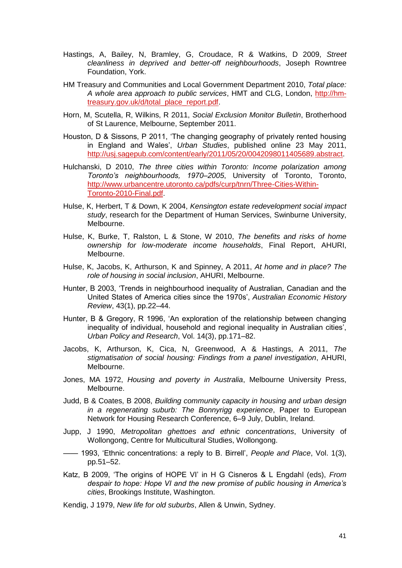- Hastings, A, Bailey, N, Bramley, G, Croudace, R & Watkins, D 2009, *Street cleanliness in deprived and better-off neighbourhoods*, Joseph Rowntree Foundation, York.
- HM Treasury and Communities and Local Government Department 2010, *Total place: A whole area approach to public services*, HMT and CLG, London, [http://hm](http://hm-treasury.gov.uk/d/total_place_report.pdf)[treasury.gov.uk/d/total\\_place\\_report.pdf.](http://hm-treasury.gov.uk/d/total_place_report.pdf)
- Horn, M, Scutella, R, Wilkins, R 2011, *Social Exclusion Monitor Bulletin*, Brotherhood of St Laurence, Melbourne, September 2011.
- Houston, D & Sissons, P 2011, 'The changing geography of privately rented housing in England and Wales', *Urban Studies*, published online 23 May 2011, [http://usj.sagepub.com/content/early/2011/05/20/0042098011405689.abstract.](http://usj.sagepub.com/content/early/2011/05/20/0042098011405689.abstract)
- Hulchanski, D 2010, *The three cities within Toronto: Income polarization among Toronto's neighbourhoods, 1970–2005*, University of Toronto, Toronto, [http://www.urbancentre.utoronto.ca/pdfs/curp/tnrn/Three-Cities-Within-](http://www.urbancentre.utoronto.ca/pdfs/curp/tnrn/Three-Cities-Within-Toronto-2010-Final.pdf)[Toronto-2010-Final.pdf.](http://www.urbancentre.utoronto.ca/pdfs/curp/tnrn/Three-Cities-Within-Toronto-2010-Final.pdf)
- Hulse, K, Herbert, T & Down, K 2004, *Kensington estate redevelopment social impact study*, research for the Department of Human Services, Swinburne University, Melbourne.
- Hulse, K, Burke, T, Ralston, L & Stone, W 2010, *The benefits and risks of home ownership for low-moderate income households*, Final Report, AHURI, Melbourne.
- Hulse, K, Jacobs, K, Arthurson, K and Spinney, A 2011, *At home and in place? The role of housing in social inclusion*, AHURI, Melbourne.
- Hunter, B 2003, 'Trends in neighbourhood inequality of Australian, Canadian and the United States of America cities since the 1970s', *Australian Economic History Review*, 43(1), pp.22–44.
- Hunter, B & Gregory, R 1996, 'An exploration of the relationship between changing inequality of individual, household and regional inequality in Australian cities', *Urban Policy and Research*, Vol. 14(3), pp.171–82.
- Jacobs, K, Arthurson, K, Cica, N, Greenwood, A & Hastings, A 2011, *The stigmatisation of social housing: Findings from a panel investigation*, AHURI, Melbourne.
- Jones, MA 1972, *Housing and poverty in Australia*, Melbourne University Press, Melbourne.
- Judd, B & Coates, B 2008, *Building community capacity in housing and urban design in a regenerating suburb: The Bonnyrigg experience*, Paper to European Network for Housing Research Conference, 6–9 July, Dublin, Ireland.
- Jupp, J 1990, *Metropolitan ghettoes and ethnic concentrations*, University of Wollongong, Centre for Multicultural Studies, Wollongong.
- —— 1993, 'Ethnic concentrations: a reply to B. Birrell', *People and Place*, Vol. 1(3), pp.51–52.
- Katz, B 2009, 'The origins of HOPE VI' in H G Cisneros & L Engdahl (eds), *From despair to hope: Hope VI and the new promise of public housing in America's cities*, Brookings Institute, Washington.
- Kendig, J 1979, *New life for old suburbs*, Allen & Unwin, Sydney.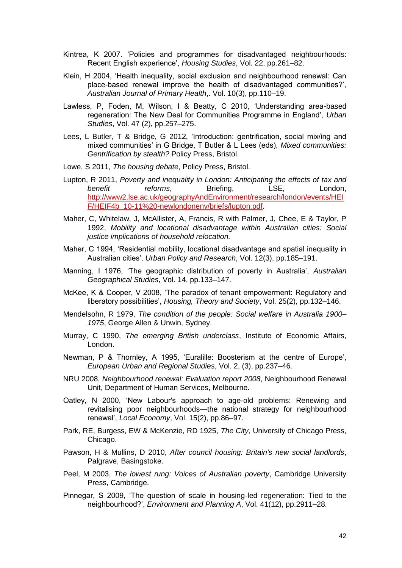- Kintrea, K 2007. 'Policies and programmes for disadvantaged neighbourhoods: Recent English experience', *Housing Studies*, Vol. 22, pp.261–82.
- Klein, H 2004, 'Health inequality, social exclusion and neighbourhood renewal: Can place-based renewal improve the health of disadvantaged communities?', *Australian Journal of Primary Health*,. Vol. 10(3), pp.110–19.
- Lawless, P, Foden, M, Wilson, I & Beatty, C 2010, 'Understanding area-based regeneration: The New Deal for Communities Programme in England', *Urban Studies*, Vol. 47 (2), pp.257–275.
- Lees, L Butler, T & Bridge, G 2012, 'Introduction: gentrification, social mix/ing and mixed communities' in G Bridge, T Butler & L Lees (eds), *Mixed communities: Gentrification by stealth?* Policy Press, Bristol.
- Lowe, S 2011, *The housing debate*, Policy Press, Bristol.
- Lupton, R 2011, *Poverty and inequality in London: Anticipating the effects of tax and*  **benefit** reforms, Briefing, LSE, London, [http://www2.lse.ac.uk/geographyAndEnvironment/research/london/events/HEI](http://www2.lse.ac.uk/geographyAndEnvironment/research/london/events/HEIF/HEIF4b_10-11%20-newlondonenv/briefs/lupton.pdf) [F/HEIF4b\\_10-11%20-newlondonenv/briefs/lupton.pdf.](http://www2.lse.ac.uk/geographyAndEnvironment/research/london/events/HEIF/HEIF4b_10-11%20-newlondonenv/briefs/lupton.pdf)
- Maher, C, Whitelaw, J, McAllister, A, Francis, R with Palmer, J, Chee, E & Taylor, P 1992, *Mobility and locational disadvantage within Australian cities: Social justice implications of household relocation.*
- Maher, C 1994, 'Residential mobility, locational disadvantage and spatial inequality in Australian cities', *Urban Policy and Research*, Vol. 12(3), pp.185–191.
- Manning, I 1976, 'The geographic distribution of poverty in Australia', *Australian Geographical Studies*, Vol. 14, pp.133–147.
- McKee, K & Cooper, V 2008, 'The paradox of tenant empowerment: Regulatory and liberatory possibilities', *Housing, Theory and Society*, Vol. 25(2), pp.132–146.
- Mendelsohn, R 1979, *The condition of the people: Social welfare in Australia 1900– 1975*, George Allen & Unwin, Sydney.
- Murray, C 1990, *The emerging British underclass*, Institute of Economic Affairs, London.
- Newman, P & Thornley, A 1995, 'Euralille: Boosterism at the centre of Europe', *European Urban and Regional Studies*, Vol. 2, (3), pp.237–46.
- NRU 2008, *Neighbourhood renewal: Evaluation report 2008*, Neighbourhood Renewal Unit, Department of Human Services, Melbourne.
- Oatley, N 2000, 'New Labour's approach to age-old problems: Renewing and revitalising poor neighbourhoods—the national strategy for neighbourhood renewal', *Local Economy*, Vol. 15(2), pp.86–97.
- Park, RE, Burgess, EW & McKenzie, RD 1925, *The City*, University of Chicago Press, Chicago.
- Pawson, H & Mullins, D 2010, *After council housing: Britain's new social landlords*, Palgrave, Basingstoke.
- Peel, M 2003, *The lowest rung: Voices of Australian poverty*, Cambridge University Press, Cambridge.
- Pinnegar, S 2009, 'The question of scale in housing-led regeneration: Tied to the neighbourhood?', *Environment and Planning A*, Vol. 41(12), pp.2911–28.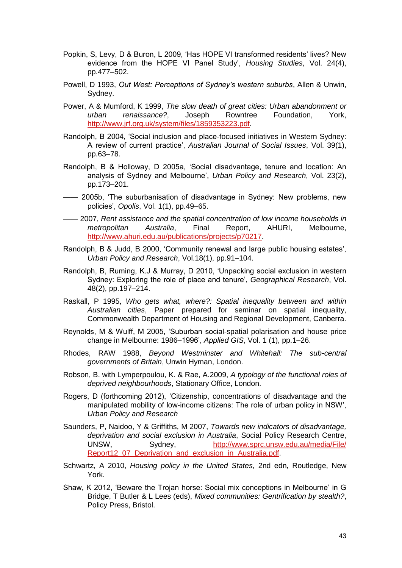- Popkin, S, Levy, D & Buron, L 2009, 'Has HOPE VI transformed residents' lives? New evidence from the HOPE VI Panel Study', *Housing Studies*, Vol. 24(4), pp.477–502.
- Powell, D 1993, *Out West: Perceptions of Sydney's western suburbs*, Allen & Unwin, Sydney.
- Power, A & Mumford, K 1999, *The slow death of great cities: Urban abandonment or urban renaissance?*, Joseph Rowntree Foundation, York, [http://www.jrf.org.uk/system/files/1859353223.pdf.](http://www.jrf.org.uk/system/files/1859353223.pdf)
- Randolph, B 2004, 'Social inclusion and place-focused initiatives in Western Sydney: A review of current practice', *Australian Journal of Social Issues*, Vol. 39(1), pp.63–78.
- Randolph, B & Holloway, D 2005a, 'Social disadvantage, tenure and location: An analysis of Sydney and Melbourne', *Urban Policy and Research*, Vol. 23(2), pp.173–201.
- —— 2005b, 'The suburbanisation of disadvantage in Sydney: New problems, new policies', *Opolis*, Vol. 1(1), pp.49–65.
- —— 2007, *Rent assistance and the spatial concentration of low income households in metropolitan Australia*, Final Report, AHURI, Melbourne, [http://www.ahuri.edu.au/publications/projects/p70217.](http://www.ahuri.edu.au/publications/projects/p70217)
- Randolph, B & Judd, B 2000, 'Community renewal and large public housing estates', *Urban Policy and Research*, Vol.18(1), pp.91–104.
- Randolph, B, Ruming, K.J & Murray, D 2010, 'Unpacking social exclusion in western Sydney: Exploring the role of place and tenure', *Geographical Research*, Vol. 48(2), pp.197–214.
- Raskall, P 1995, *Who gets what, where?: Spatial inequality between and within Australian cities*, Paper prepared for seminar on spatial inequality, Commonwealth Department of Housing and Regional Development, Canberra.
- Reynolds, M & Wulff, M 2005, 'Suburban social-spatial polarisation and house price change in Melbourne: 1986–1996', *Applied GIS*, Vol. 1 (1), pp.1–26.
- Rhodes, RAW 1988, *Beyond Westminster and Whitehall: The sub-central governments of Britain*, Unwin Hyman, London.
- Robson, B. with Lymperpoulou, K. & Rae, A.2009, *A typology of the functional roles of deprived neighbourhoods*, Stationary Office, London.
- Rogers, D (forthcoming 2012), 'Citizenship, concentrations of disadvantage and the manipulated mobility of low-income citizens: The role of urban policy in NSW', *Urban Policy and Research*
- Saunders, P, Naidoo, Y & Griffiths, M 2007, *Towards new indicators of disadvantage, deprivation and social exclusion in Australia*, Social Policy Research Centre, UNSW, Sydney, [http://www.sprc.unsw.edu.au/media/File/](http://www.sprc.unsw.edu.au/media/File/%20Report12_07_Deprivation_and_exclusion_in_Australia.pdf)  [Report12\\_07\\_Deprivation\\_and\\_exclusion\\_in\\_Australia.pdf.](http://www.sprc.unsw.edu.au/media/File/%20Report12_07_Deprivation_and_exclusion_in_Australia.pdf)
- Schwartz, A 2010, *Housing policy in the United States*, 2nd edn, Routledge, New York.
- Shaw, K 2012, 'Beware the Trojan horse: Social mix conceptions in Melbourne' in G Bridge, T Butler & L Lees (eds), *Mixed communities: Gentrification by stealth?*, Policy Press, Bristol.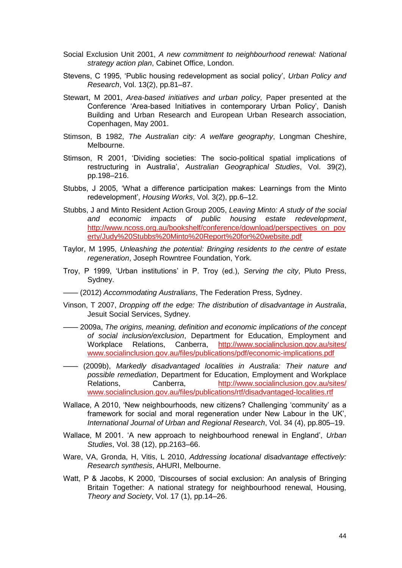- Social Exclusion Unit 2001, *A new commitment to neighbourhood renewal: National strategy action plan*, Cabinet Office, London.
- Stevens, C 1995, 'Public housing redevelopment as social policy', *Urban Policy and Research*, Vol. 13(2), pp.81–87.
- Stewart, M 2001, *Area-based initiatives and urban policy,* Paper presented at the Conference 'Area-based Initiatives in contemporary Urban Policy', Danish Building and Urban Research and European Urban Research association, Copenhagen, May 2001.
- Stimson, B 1982, *The Australian city: A welfare geography*, Longman Cheshire, Melbourne.
- Stimson, R 2001, 'Dividing societies: The socio-political spatial implications of restructuring in Australia', *Australian Geographical Studies*, Vol. 39(2), pp.198–216.
- Stubbs, J 2005, 'What a difference participation makes: Learnings from the Minto redevelopment', *Housing Works*, Vol. 3(2), pp.6–12.
- Stubbs, J and Minto Resident Action Group 2005, *Leaving Minto: A study of the social and economic impacts of public housing estate redevelopment*, [http://www.ncoss.org.au/bookshelf/conference/download/perspectives\\_on\\_pov](http://www.ncoss.org.au/bookshelf/conference/download/perspectives_on_poverty/Judy%20Stubbs%20Minto%20Report%20for%20website.pdf) [erty/Judy%20Stubbs%20Minto%20Report%20for%20website.pdf](http://www.ncoss.org.au/bookshelf/conference/download/perspectives_on_poverty/Judy%20Stubbs%20Minto%20Report%20for%20website.pdf)
- Taylor, M 1995, *Unleashing the potential: Bringing residents to the centre of estate regeneration*, Joseph Rowntree Foundation, York.
- Troy, P 1999, 'Urban institutions' in P. Troy (ed.), *Serving the city*, Pluto Press, Sydney.
- —— (2012) *Accommodating Australians*, The Federation Press, Sydney.
- Vinson, T 2007, *Dropping off the edge: The distribution of disadvantage in Australia*, Jesuit Social Services, Sydney.
- —— 2009a, *The origins, meaning, definition and economic implications of the concept of social inclusion/exclusion*, Department for Education, Employment and Workplace Relations, Canberra, http://www.socialinclusion.gov.au/sites/ [www.socialinclusion.gov.au/files/publications/pdf/economic-implications.pdf](http://www.socialinclusion.gov.au/sites/%20www.socialinclusion.gov.au/files/publications/pdf/economic-implications.pdf)
- —— (2009b), *Markedly disadvantaged localities in Australia: Their nature and possible remediation*, Department for Education, Employment and Workplace Relations, Canberra, [http://www.socialinclusion.gov.au/sites/](http://www.socialinclusion.gov.au/sites/%20www.socialinclusion.gov.au/files/publications/rtf/disadvantaged-localities.rtf)  [www.socialinclusion.gov.au/files/publications/rtf/disadvantaged-localities.rtf](http://www.socialinclusion.gov.au/sites/%20www.socialinclusion.gov.au/files/publications/rtf/disadvantaged-localities.rtf)
- Wallace, A 2010, 'New neighbourhoods, new citizens? Challenging 'community' as a framework for social and moral regeneration under New Labour in the UK', *International Journal of Urban and Regional Research*, Vol. 34 (4), pp.805–19.
- Wallace, M 2001. 'A new approach to neighbourhood renewal in England', *Urban Studies*, Vol. 38 (12), pp.2163–66.
- Ware, VA, Gronda, H, Vitis, L 2010, *Addressing locational disadvantage effectively: Research synthesis*, AHURI, Melbourne.
- Watt, P & Jacobs, K 2000, 'Discourses of social exclusion: An analysis of Bringing Britain Together: A national strategy for neighbourhood renewal, Housing, *Theory and Society*, Vol. 17 (1), pp.14–26.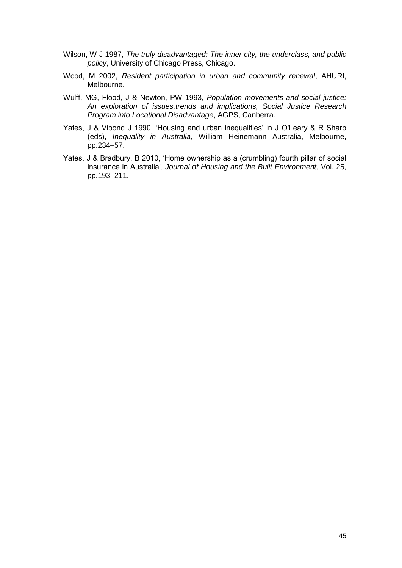- Wilson, W J 1987, *The truly disadvantaged: The inner city, the underclass, and public policy*, University of Chicago Press, Chicago.
- Wood, M 2002, *Resident participation in urban and community renewal*, AHURI, Melbourne.
- Wulff, MG, Flood, J & Newton, PW 1993, *Population movements and social justice: An exploration of issues,trends and implications, Social Justice Research Program into Locational Disadvantage*, AGPS, Canberra.
- Yates, J & Vipond J 1990, 'Housing and urban inequalities' in J O'Leary & R Sharp (eds), *Inequality in Australia*, William Heinemann Australia, Melbourne, pp.234–57.
- Yates, J & Bradbury, B 2010, 'Home ownership as a (crumbling) fourth pillar of social insurance in Australia', *Journal of Housing and the Built Environment*, Vol. 25, pp.193–211.